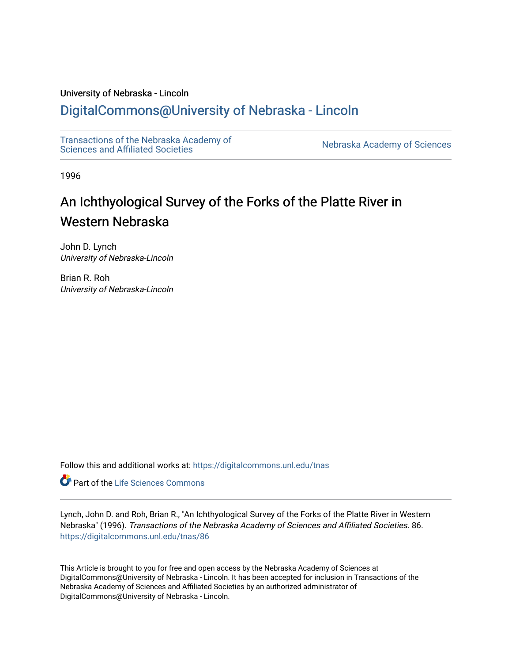## University of Nebraska - Lincoln

## [DigitalCommons@University of Nebraska - Lincoln](https://digitalcommons.unl.edu/)

[Transactions of the Nebraska Academy of](https://digitalcommons.unl.edu/tnas)  Transactions of the Nebraska Academy of Sciences<br>Sciences and Affiliated Societies

1996

# An Ichthyological Survey of the Forks of the Platte River in Western Nebraska

John D. Lynch University of Nebraska-Lincoln

Brian R. Roh University of Nebraska-Lincoln

Follow this and additional works at: [https://digitalcommons.unl.edu/tnas](https://digitalcommons.unl.edu/tnas?utm_source=digitalcommons.unl.edu%2Ftnas%2F86&utm_medium=PDF&utm_campaign=PDFCoverPages) 

**Part of the Life Sciences Commons** 

Lynch, John D. and Roh, Brian R., "An Ichthyological Survey of the Forks of the Platte River in Western Nebraska" (1996). Transactions of the Nebraska Academy of Sciences and Affiliated Societies. 86. [https://digitalcommons.unl.edu/tnas/86](https://digitalcommons.unl.edu/tnas/86?utm_source=digitalcommons.unl.edu%2Ftnas%2F86&utm_medium=PDF&utm_campaign=PDFCoverPages)

This Article is brought to you for free and open access by the Nebraska Academy of Sciences at DigitalCommons@University of Nebraska - Lincoln. It has been accepted for inclusion in Transactions of the Nebraska Academy of Sciences and Affiliated Societies by an authorized administrator of DigitalCommons@University of Nebraska - Lincoln.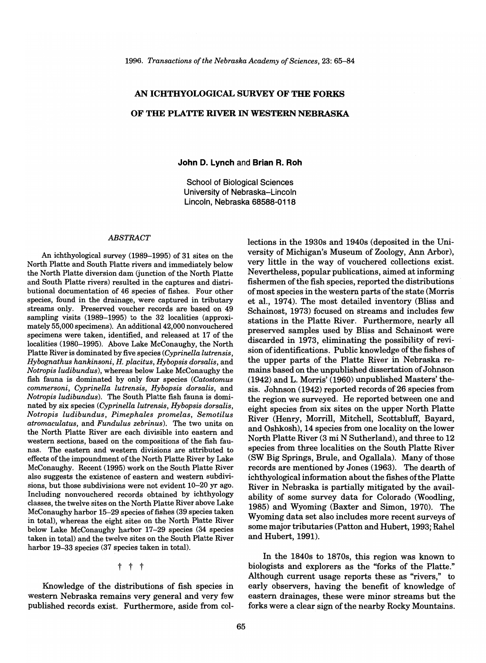## AN ICHTHYOLOGICAL SURVEY OF TIlE FORKS OF THE PLATTE RIVER IN WESTERN NEBRASKA

## John D. Lynch and Brian R. Roh

School of Biological Sciences University of Nebraska-Lincoln Lincoln, Nebraska 68588-0118

#### *ABSTRACT*

An ichthyological survey (1989-1995) of 31 sites on the North Platte and South Platte rivers and immediately below the North Platte diversion dam (junction of the North Platte and South Platte rivers) resulted in the captures and distributional documentation of 46 species of fishes. Four other species, found in the drainage, were captured in tributary streams only. Preserved voucher records are based on 49 sampling visits (1989-1995) to the 32 localities (approximately 55,000 specimens). An additional 42,000 nonvouchered specimens were taken, identified, and released at 17 of the localities (1980-1995). Above Lake McConaughy, the North Platte River is dominated by five species *(Cyprinella lutrensis, Hybognathus hankinsoni, H. placitus, Hybopsis dorsalis,* and *Notropis ludibundus),* whereas below Lake McConaughy the fish fauna is dominated by only four species *(Catostomus commersoni, Cyprinella lutrensis, Hybopsis dorsalis,* and *Notropis ludibundus).* The South Platte fish fauna is dominated by six species *(Cyprinella lutrensis, Hybopsis dorsalis, Notropis ludibundus, Pimephales promelas, Semotilus atromaculatus,* and *Fundulus zebrinus).* The two units on the North Platte River are each divisible into eastern and western sections, based on the compositions of the fish faunas. The eastern and western divisions are attributed to effects of the impoundment of the North Platte River by Lake McConaughy. Recent (1995) work on the South Platte River also suggests the existence of eastern and western subdivisions, but those subdivisions were not evident 10-20 yr ago. Including nonvouchered records obtained by ichthyology classes, the twelve sites on the North Platte River above Lake McConaughy harbor 15-29 species of fishes (39 species taken in total), whereas the eight sites on the North Platte River below Lake McConaughy harbor 17-29 species (34 species taken in total) and the twelve sites on the South Platte River harbor 19-33 species (37 species taken in total).

t t t

Knowledge of the distributions of fish species in western Nebraska remains very general and very few published records exist. Furthermore, aside from collections in the 1930s and 1940s (deposited in the University of Michigan's Museum of Zoology, Ann Arbor), very little in the way of vouchered collections exist. Nevertheless, popular publications, aimed at informing fishermen of the fish species, reported the distributions of most species in the western parts of the state (Morris et al., 1974). The most detailed inventory (Bliss and Schainost, 1973) focused on streams and includes few stations in the Platte River. Furthermore, nearly all preserved samples used by Bliss and Schainost were discarded in 1973, eliminating the possibility of revision of identifications. Public knowledge of the fishes of the upper parts of the Platte River in Nebraska remains based on the unpublished dissertation of Johnson (1942) and L. Morris' (1960) unpublished Masters' thesis. Johnson (1942) reported records of 26 species from the region we surveyed. He reported between one and eight species from six sites on the upper North Platte River (Henry, Morrill, Mitchell, Scottsbluff, Bayard, and Oshkosh), 14 species from one locality on the lower North Platte River (3 mi N Sutherland), and three to 12 species from three localities on the South Platte River (SW Big Springs, Brule, and Ogallala). Many of those records are mentioned by Jones (1963). The dearth of ichthyological information about the fishes of the Platte River in Nebraska is partially mitigated by the availability of some survey data for Colorado (Woodling, 1985) and Wyoming (Baxter and Simon, 1970). The Wyoming data set also includes more recent surveys of some major tributaries (Patton and Hubert, 1993; Rahel and Hubert, 1991).

In the 1840s to 1870s, this region was known to biologists and explorers as the "forks of the Platte." Although current usage reports these as "rivers," to early observers, having the benefit of knowledge of eastern drainages, these were minor streams but the forks were a clear sign of the nearby Rocky Mountains.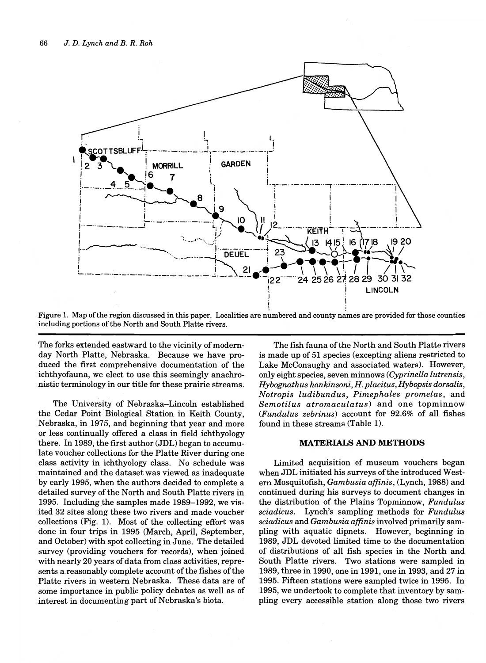

Figure 1. Map of the region discussed in this paper. Localities are numbered and county names are provided for those counties including portions of the North and South Platte rivers.

The forks extended eastward to the vicinity of modernday North Platte, Nebraska. Because we have produced the first comprehensive documentation of the ichthyofauna, we elect to use this seemingly anachronistic terminology in our title for these prairie streams.

The University of Nebraska-Lincoln established the Cedar Point Biological Station in Keith County, Nebraska, in 1975, and beginning that year and more or less continually offered a class in field ichthyology there. In 1989, the first author (JDL) began to accumulate voucher collections for the Platte River during one class activity in ichthyology class. No schedule was maintained and the dataset was viewed as inadequate by early 1995, when the authors decided to complete a detailed survey of the North and South Platte rivers in 1995. Including the samples made 1989-1992, we visited 32 sites along these two rivers and made voucher collections (Fig. 1). Most of the collecting effort was done in four trips in 1995 (March, April, September, and October) with spot collecting in June. The detailed survey (providing vouchers for records), when joined with nearly 20 years of data from class activities, represents a reasonably complete account of the fishes of the Platte rivers in western Nebraska. These data are of some importance in public policy debates as well as of interest in documenting part of Nebraska's biota.

The fish fauna of the North and South Platte rivers is made up of 51 species (excepting aliens restricted to Lake McConaughy and associated waters). However, only eight species, seven minnows *(Cyprinella lutrensis, Hybognathus hankinsoni,* H. *placitus, Hybopsis dorsalis, Notropis ludibundus, Pimephales promelas,* and *Semotilus atromaculatus)* and one topminnow *(Fundulus zebrinus)* account for 92.6% of all fishes found in these streams (Table 1).

## MATERIALS AND METHODS

Limited acquisition of museum vouchers began when JDL initiated his surveys of the introduced Western Mosquitofish, *Gambusia affinis,* (Lynch, 1988) and continued during his surveys to document changes in the distribution of the Plains Topminnow, *Fundulus sciadicus.* Lynch's sampling methods for *Fundulus sciadicus* and *Gambusia affinis* involved primarily sampling with aquatic dipnets. However, beginning in 1989, JDL devoted limited time to the documentation of distributions of all fish species in the North and South Platte rivers. Two stations were sampled in 1989, three in 1990, one in 1991, one in 1993, and 27 in 1995. Fifteen stations were sampled twice in 1995. In 1995, we undertook to complete that inventory by sampling every accessible station along those two rivers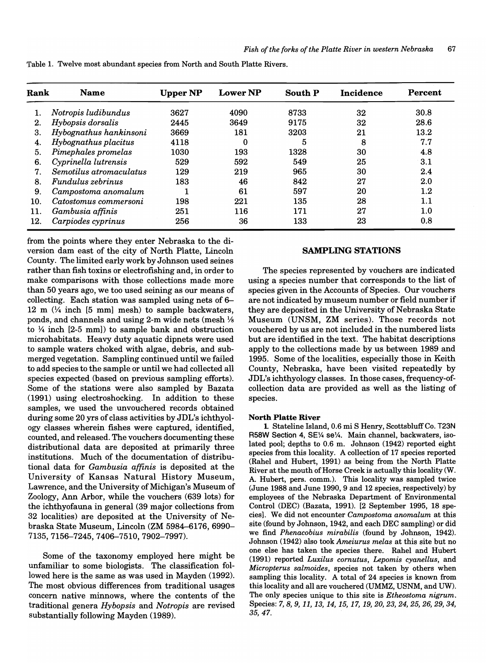| Rank | <b>Name</b>             | <b>Upper NP</b> | <b>Lower NP</b>  | <b>South P</b> | <b>Incidence</b> | Percent |
|------|-------------------------|-----------------|------------------|----------------|------------------|---------|
|      | Notropis ludibundus     | 3627            | 4090             | 8733           | 32               | 30.8    |
| 2.   | Hybopsis dorsalis       | 2445            | 3649             | 9175           | 32               | 28.6    |
| 3.   | Hybognathus hankinsoni  | 3669            | 181              | 3203           | 21               | 13.2    |
| 4.   | Hybognathus placitus    | 4118            | $\boldsymbol{0}$ | 5              | 8                | 7.7     |
| 5.   | Pimephales promelas     | 1030            | 193              | 1328           | 30               | 4.8     |
| 6.   | Cyprinella lutrensis    | 529             | 592              | 549            | 25               | 3.1     |
| 7.   | Semotilus atromaculatus | 129             | 219              | 965            | 30               | 2.4     |
| 8.   | Fundulus zebrinus       | 183             | 46               | 842            | 27               | 2.0     |
| 9.   | Campostoma anomalum     |                 | 61               | 597            | 20               | $1.2\,$ |
| 10.  | Catostomus commersoni   | 198             | 221              | 135            | 28               | 1.1     |
| 11.  | Gambusia affinis        | 251             | 116              | 171            | 27               | $1.0\,$ |
| 12.  | Carpiodes cyprinus      | 256             | 36               | 133            | 23               | 0.8     |

Table 1. Twelve most abundant species from North and South Platte Rivers.

from the points where they enter Nebraska to the diversion dam east of the city of North Platte, Lincoln County. The limited early work by Johnson used seines rather than fish toxins or electrofishing and, in order to make comparisons with those collections made more than 50 years ago, we too used seining as our means of collecting. Each station was sampled using nets of 6- 12 m  $(\frac{1}{4}$  inch [5 mm] mesh) to sample backwaters, ponds, and channels and using 2-m wide nets (mesh 1/8 to  $\frac{1}{4}$  inch [2-5 mm]) to sample bank and obstruction microhabitats. Heavy duty aquatic dipnets were used to sample waters choked with algae, debris, and submerged vegetation. Sampling continued until we failed to add species to the sample or until we had collected all species expected (based on previous sampling efforts). Some of the stations were also sampled by Bazata (1991) using electroshocking. In addition to these samples, we used the unvouchered records obtained during some 20 yrs of class activities by JDL's ichthyology classes wherein fishes were captured, identified, counted, and released. The vouchers documenting these distributional data are deposited at primarily three institutions. Much of the documentation of distributional data for *Gambusia affinis* is deposited at the University of Kansas Natural History Museum, Lawrence, and the University of Michigan's Museum of Zoology, Ann Arbor, while the vouchers (639 lots) for the ichthyofauna in general (39 major collections from 32 localities) are deposited at the University of Nebraska State Museum, Lincoln (ZM 5984-6176, 6990- 7135,7156-7245,7406-7510,7902-7997).

Some of the taxonomy employed here might be unfamiliar to some biologists. The classification followed here is the same as was used in Mayden (1992). The most obvious differences from traditional usages concern native minnows, where the contents of the traditional genera *Hybopsis* and *Notropis* are revised substantially following Mayden (1989).

## SAMPLING STATIONS

The species represented by vouchers are indicated using a species number that corresponds to the list of species given in the Accounts of Species. Our vouchers are not indicated by museum number or field number if they are deposited in the University of Nebraska State Museum (UNSM, ZM series). Those records not vouchered by us are not included in the numbered lists but are identified in the text. The habitat descriptions apply to the collections made by us between 1989 and 1995. Some of the localities, especially those in Keith County, Nebraska, have been visited repeatedly by JDL's ichthyology classes. In those cases, frequency-ofcollection data are provided as well as the listing of species.

### North Platte River

1. Stateline Island, 0.6 mi S Henry, Scottsbluff Co. T23N R58W Section 4, SE¼ se¼. Main channel, backwaters, isolated pool; depths to 0.6 m. Johnson (1942) reported eight species from this locality. A collection of 17 species reported (Rahel and Hubert, 1991) as being from the North Platte River at the mouth of Horse Creek is actually this locality (W. A. Hubert, pers. comm.). This locality was sampled twice (June 1988 and June 1990, 9 and 12 species, respectively) by employees of the Nebraska Department of Environmental Control (DEC) (Bazata, 1991). [2 September 1995, 18 species]. We did not encounter *Campostoma anomalum* at this site (found by Johnson, 1942, and each DEC sampling) or did we find *Phenacobius mirabilis* (found by Johnson, 1942). Johnson (1942) also took *Ameiurus melas* at this site but no one else has taken the species there. Rahel and Hubert (1991) reported *Luxilus cornutus, Lepomis cyanellus,* and *Micropterus salmoides,* species not taken by others when sampling this locality. A total of 24 species is known from this locality and all are vouchered (UMMZ, USNM, and UW). The only species unique to this site is *Etheostoma nigrum.*  Species: 7, *S,* 9, 11, 13, 14, 15, 17, 19, *20,* 23, 24, 25, 26, 29, 34, 35,47.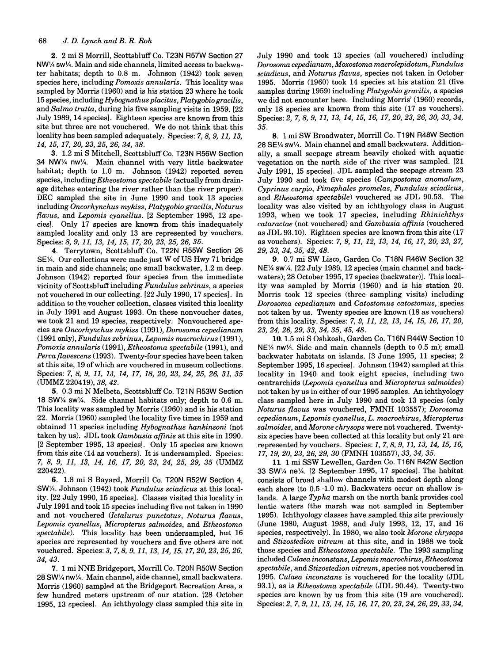2. 2 mi S Morrill, Scottsbluff Co. T23N R57W Section 27  $NW\frac{1}{4}$  sw $\frac{1}{4}$ . Main and side channels, limited access to backwater habitats; depth to 0.8 m. Johnson (1942) took seven species here, including *Pomoxis annularis.* This locality was sampled by Morris (1960) and is his station 23 where he took 15 species, including *Hybognathus placitus, Platygobio gracilis,*  and *Salmo trutta,* during his five sampling visits in 1959. [22 July 1989,14 speciesl. Eighteen species are known from this site but three are not vouchered. We do not think that this locality has been sampled adequately. Species: 7, 8, 9, 11, 13, *14,15,17,20,23,25,26,34,38.* 

3. 1.2 mi S Mitchell, Scottsbluff Co. T23N R56W Section 34 NW1/4 nw1/4. Main channel with very little backwater habitat; depth to 1.0 m. Johnson (1942) reported seven species, including *Etheostoma spectabile* (actually from drainage ditches entering the river rather than the river proper). DEC sampled the site in June 1990 and took 13 species including *Oncorhynchus mykiss, Platygobio gracilis, Noturus flavus,* and *Lepomis cyanellus.* [2 September 1995, 12 speciesl. Only 17 species are known from this inadequately sampled locality and only 13 are represented by vouchers. Species: 8, 9, 11, 13, 14, 15, 17, *20,* 23, 25, 26, 35.

4. Terrytown, Scottsbluff Co. T22N R55W Section 26 SE<sup>1</sup>/<sub>4</sub>. Our collections were made just W of US Hwy 71 bridge in main and side channels; one small backwater, 1.2 m deep. Johnson (1942) reported four species from the immediate vicinity of Scottsbluff including *Fundulus zebrinus,* a species not vouchered in our collecting. [22 July 1990, 17 speciesl. In addition to the voucher collection, classes visited this locality in July 1991 and August 1993. On these nonvoucher dates, we took 21 and 19 species, respectively. Nonvouchered species are *Oncorhynchus mykiss* (1991), *Dorosoma cepedianum*  (1991 only), *Fundulus zebrinus, Lepomis macrochirus (1991), Pomoxis annularis* (1991), *Etheostoma spectabile* (1991), and *Perca flavescens* (1993). Twenty-four species have been taken at this site, 19 of which are vouchered in museum collections. Species: 7, 8, 9, 11, 13, 14, 17, 18, *20,* 23, 24, 25, 26, 31, 35 (UMMZ 220419), 38, 42.

5. 0.3 mi N Melbeta, Scottsbluff Co. T21N R53W Section 18 SW $\frac{1}{4}$  sw $\frac{1}{4}$ . Side channel habitats only; depth to 0.6 m. This locality was sampled by Morris (1960) and is his station 22. Morris (1960) sampled the locality five times in 1959 and obtained 11 species including *Hybognathus hankinsoni* (not taken by us). JDL took *Gambusia affinis* at this site in 1990. [2 September 1995, 13 speciesl. Only 15 species are known from this site (14 as vouchers). It is undersampled. Species: 7, 8, 9, 11, 13, 14, 16, 17, *20,* 23, 24, 25, 29, 35 (UMMZ 220422).

6. 1.8 mi S Bayard, Morrill Co. T20N R52W Section 4, SWV4. Johnson (1942) took *Fundulus sciadicus* at this locality. [22 July 1990, 15 speciesl. Classes visited this locality in July 1991 and took 15 species including five not taken in 1990 and not vouchered *(/ctalurus punctatus, Noturus flavus, Lepomis cyanellus, Micropterus salmoides,* and *Etheostoma spectabile).* This locality has been undersampled, but 16 species are represented by vouchers and five others are not vouchered. Species: *3,7,8,9,11,13,14,15,17,20,23,25,26,*  34,43.

7. 1 mi NNE Bridgeport, Morrill Co. T20N R50W Section 28 SW1/4 nw1/4. Main channel, side channel, small backwaters. Morris (1960) sampled at the Bridgeport Recreation Area, a few hundred meters upstream of our station. [28 October 1995, 13 speciesl. An ichthyology class sampled this site in

July 1990 and took 13 species (all vouchered) including *Dorosoma cepedianum, Moxostoma macrolepidotum, Fundulus sciadicus,* and *Noturus flavus,* species not taken in October 1995. Morris (1960) took 14 species at his station 21 (five samples during 1959) including *Platygobio gracilis,* a species we did not encounter here. Including Morris' (1960) records, only 18 species are known from this site (17 as vouchers). Species: 2, *7,8,9,11,13,14,15,16,17,20,23,26,30,33,34,*  35.

8. 1 mi SW Broadwater, Morrill Co. T19N R48W Section  $28$  SE $\frac{1}{4}$  sw $\frac{1}{4}$ . Main channel and small backwaters. Additionally, a small seepage stream heavily choked with aquatic vegetation on the north side of the river was sampled. [21 July 1991, 15 speciesl. JDL sampled the seepage stream 23 July 1990 and took five species *(Campostoma anomalum, Cyprinus carpio, Pimephales promelas, Fundulus sciadicus,*  and *Etheostoma spectabile)* vouchered as JDL 90.53. The locality was also visited by an ichthyology class in August 1993, when we took 17 species, including *Rhinichthys cataractae* (not vouchered) and *Gambusia affinis* (vouchered as JDL 93.10). Eighteen species are known from this site (17 as vouchers). Species: 7, 9, 11, 12, 13, 14, 16, *17,20,23, 27,*  29, 33, 34, 35, 42, 48.

9. 0.7 mi SW Lisco, Garden Co. T18N R46W Section 32 NE<sup>1</sup>/<sub>4</sub> sw<sup>1</sup>/<sub>4</sub>. [22 July 1989, 12 species (main channel and backwaters); 28 October 1995, 17 species (backwater)l. This locality was sampled by Morris (1960) and is his station 20. Morris took 12 species (three sampling visits) including *Dorosoma cepedianum* and *Catostomus catostomus,* species not taken by us. Twenty species are known (18 as vouchers) from this locality. Species: 7, 9, 11, 12, 13, 14, 15, 16, 17, *20,*  23, 24, 26, 29, 33, 34, 35, 45, 48.

10. 1.5 mi S Oshkosh, Garden Co. T16N R44W Section 10  $NE\$ /4 nw $\frac{1}{4}$ . Side and main channels (depth to 0.5 m); small backwater habitats on islands. [3 June 1995, 11 species; 2 September 1995, 16 species]. Johnson (1942) sampled at this locality in 1940 and took eight species, including two centrarchids *(Lepomis cyanellus* and *Micropterus salmoides)*  not taken by us in either of our 1995 samples. An ichthyology class sampled here in July 1990 and took 13 species (only *Noturus flavus* was vouchered, FMNH 103557); *Dorosoma cepedianum, Lepomis cyanellus, L. macrochirus, Micropterus salmoides,* and *Morone chrysops* were not vouchered. Twentysix species have been collected at this locality but only 21 are represented by vouchers. Species: 1,7,8,9,11,13,14,15,16, 17, 19, *20,* 23, 26, 29, *30* (FMNH 103557), 33, 34, 35.

11 1 mi SSW Lewellen, Garden Co. T16N R42W Section 33 SW $\frac{1}{4}$  ne $\frac{1}{4}$ . [2 September 1995, 17 species]. The habitat consists of broad shallow channels with modest depth along each shore (to 0.5-1.0 m). Backwaters occur on shallow islands. A large *Typha* marsh on the north bank provides cool lentic waters (the marsh was not sampled in September 1995). Ichthyology classes have sampled this site previously (June 1980, August 1988, and July 1993, 12, 17, and 16 species, respectively). In 1980, we also took *Morone chrysops*  and *Stizostedion vitreum* at this site, and in 1988 we took those species and *Etheostoma spectabile.* The 1993 sampling included *Culaea inconstans, Lepomis macrochirus, Etheostoma spectabile,* and *Stizostedion vitreum,* species not vouchered in *1995. Culaea inconstans* is vouchered for the locality (JDL 93.1), as is *Etheostoma spectabile* (JDL 90.44). Twenty-two species are known by us from this site (19 are vouchered). Species: 2, 7,9, 11, 13, 14, 15, 16, *17,20,23,24,26,29,33,34,*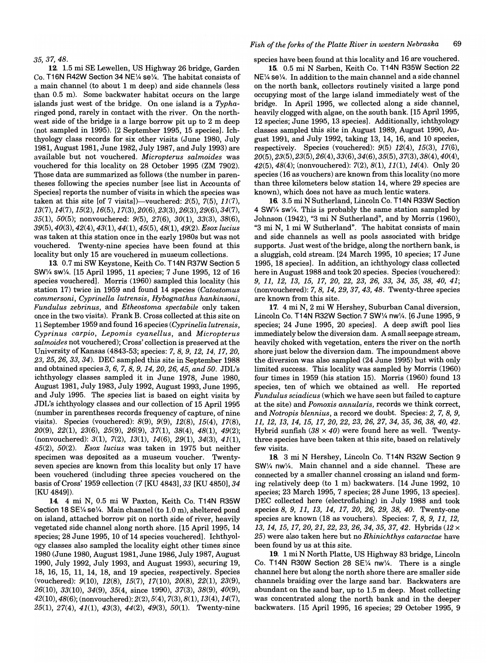35,37,48.

12. 1.5 mi SE Lewellen, US Highway 26 bridge, Garden Co. T16N R42W Section 34 NE1/4 se1/4. The habitat consists of a main channel (to about 1 m deep) and side channels (less than 0.5 m). Some backwater habitat occurs on the large islands just west of the bridge. On one island is a *Typha*ringed pond, rarely in contact with the river. On the northwest side of the bridge is a large borrow pit up to 2 m deep (not sampled in 1995). [2 September 1995, 15 species]. Ichthyology class records for six other visits (June 1980, July 1981, August 1981, June 1982, July 1987, and July 1993) are available but not vouchered. *Micropterus salmoides* was vouchered for this locality on 28 October 1995 (ZM 7902). Those data are summarized as follows (the number in parentheses following the species number [see list in Accounts of Species] reports the number of visits in which the species was taken at this site [of 7 visits])—vouchered:  $2(5)$ ,  $7(5)$ ,  $11(7)$ , *13(7),14(7),15(2),16(5),17(3),20(6),23(3),26(3),* 29(6), 34(7), *35(1), 50(5);* nonvouchered: 9(5), 27(6), *30(1),* 33(3), 38(6), *39(5),40(3),42(4),43(1),44(1),45(5),48(1),49(2). Esox lucius*  was taken at this station once in the early 1980s but was not vouchered. Twenty-nine species have been found at this locality but only 15 are vouchered in museum collections.

13. 0.7 mi SW Keystone, Keith Co. T14N R37W Section 5 SW<sup>1</sup>/4 sw<sup>1</sup>/<sub>4</sub>. [15 April 1995, 11 species; 7 June 1995, 12 of 16 species vouchered]. Morris (1960) sampled this locality (his station 17) twice in 1959 and found 14 species *(Catostomus commersoni, Cyprinella lutrensis, Hybognathus hankinsoni, Fundulus zebrinus,* and *Etheostoma spectabile* only taken once in the two visits). Frank B. Cross collected at this site on 11 September 1959 and found 16 species *(Cyprinella lutrensis, Cyprinus carpio, Lepomis cyanellus,* and *Micropterus salmoides* not vouchered); Cross' collection is preserved at the University of Kansas (4843-53; species: 7, 8, 9, 12, 14, *17,20,*  23, 25, 26, 33, 34). DEC sampled this site in September 1988 and obtained species 3, 6, 7,8, 9, *14,20,26,45, and 50.* JDL's ichthyology classes sampled it in June 1978, June 1980, August 1981, July 1983, July 1992, August 1993, June 1995, and July 1995. The species list is based on eight visits by JDL's ichthyology classes and our collection of 15 April 1995 (number in parentheses records frequency of capture, of nine visits). Species (vouchered): 8(9), 9(9), 12(8), 15(4), 17(8), *20(9),* 22(1), 23(6), 25(9), 26(9), 37(1), 38(4), 48(1), 49(2); (nonvouchered): 3(1), 7(2), 13(1), 14(6), 29(1), 34(3), 41(1), *45(2), 50(2). Esax lucius* was taken in 1975 but neither specimen was deposited as a museum voucher. Twentyseven species are known from this locality but only 17 have been vouchered (including three species vouchered on the basis of Cross' 1959 collection (7 [KU 4843], 33 [KU 4850], 34 [KU 4849]).

**14.** 4 mi N, 0.5 mi W Paxton, Keith Co. T14N R35W Section 18 SE1/4 se<sup>1</sup>/4. Main channel (to 1.0 m), sheltered pond on island, attached borrow pit on north side of river, heavily vegetated side channel along north shore. [15 April 1995, 14 species; 28 June 1995, 10 of 14 species vouchered]. Ichthyology classes also sampled the locality eight other times since 1980 (June 1980, August 1981, June 1986, July 1987, August 1990, July 1992, July 1993, and August 1993), securing 19, 18, 16, 15, 11, 14, 18, and 19 species, respectively. Species (vouchered): 9(10), 12(8), 15(7), 17(10), *20(8),* 22(1), 23(9), 26(10), 33(10), 34(9), 35(4, since 1990), 37(3), 38(9), *40(9),*   $42(10), 48(6)$ ; (nonvouchered):  $2(2), 5(4), 7(3), 8(1), 13(4), 14(7)$ , 25(1), 27(4), 41(1), 43(3), 44(2), 49(3), *50(1).* Twenty-nine

### *Fish af the farks af the Platte River in western Nebraska 69*

species have been found at this locality and 16 are vouchered.

15. 0.5 mi N Sarben, Keith Co. T14N R35W Section 22 NE1/4 se1/4. In addition to the main channel and a side channel on the north bank, collectors routinely visited a large pond occupying most of the large island immediately west of the bridge. In April 1995, we collected along a side channel, heavily clogged with algae, on the south bank. [15 April 1995, 12 species; June 1995, 13 species]. Additionally, ichthyology classes sampled this site in August 1989, August 1990, August 1991, and July 1992, taking 13, 14, 16, and 10 species, respectively. Species (vouchered):  $9(5)$   $12(4)$ ,  $15(3)$ ,  $17(6)$ , *20(5),23(5),23(5),26(4),33(6),34(6),35(5),* 37(3), 38(4), *40(4),*  42(5),48(4); (nonvouchered); 7(2), 8(1), 11(1), 14(4). Only 20 species (16 as vouchers) are known from this locality (no more than three kilometers below station 14, where 29 species are known), which does not have as much lentic waters.

16. 3.5 mi N Sutherland, Lincoln Co. T14N R33W Section  $4$  SW $\frac{1}{4}$  sw $\frac{1}{4}$ . This is probably the same station sampled by Johnson (1942), "3 mi N Sutherland", and by Morris (1960), "3 mi N, 1 mi W Sutherland". The habitat consists of main and side channels as well as pools associated with bridge supports. Just west of the bridge, along the northern bank, is a sluggish, cold stream. [24 March 1995, 10 species; 17 June 1995, 18 species1. In addition, an ichthyology class collected here in August 1988 and took 20 species. Species (vouchered): 9, 11, 12, 13, 15, 17, *20,* 22, 23, 26, 33, 34, 35, 38, *40, 41;*  (nonvouchered): 7, 8, 14,29,37,43,48. Twenty-three species are known from this site.

17. 4 mi N, 2 mi W Hershey, Suburban Canal diversion, Lincoln Co. T14N R32W Section 7 SW1/4 nw1/4. [6 June 1995, 9 species; 24 June 1995, 20 species]. A deep swift pool lies immediately below the diversion dam. A small seepage stream, heavily choked with vegetation, enters the river on the north shore just below the diversion dam. The impoundment above the diversion was also sampled (24 June 1995) but with only limited success. This locality was sampled by Morris (1960) four times in 1959 (his station 15). Morris (1960) found 13 species, ten of which we obtained as well. He reported *Fundulus sciadicus* (which we have seen but failed to capture at the site) and *Pamoxis annularis,* records we think correct, and *Natrapis blennius,* a record we doubt. Species: 2, 7, 8, 9, 11, 12, 13, 14, 15, 17, *20,* 22, 23, 26, 27, 34, 35, 36, 38, *40, 42.*  Hybrid sunfish  $(38 \times 40)$  were found here as well. Twentythree species have been taken at this site, based on relatively few visits.

18. 3 mi N Hershey, Lincoln Co. T14N R32W Section 9 SW1/4 nw1/4. Main channel and a side channel. These are connected by a smaller channel crossing an island and forming relatively deep (to 1 m) backwaters. [14 June 1992, 10 species; 23 March 1995, 7 species; 28 June 1995, 13 species]. DEC collected here (electrofishing) in July 1988 and took species 8, 9, 11, 13, 14, 17, *20,* 26, 29, 38, *40.* Twenty-one species are known (18 as vouchers). Species: 7, 8, 9, 11, 12, 13, 14, 15, 17, *20,* 21, 22, 23, 26, 34, 35, 37, 42. Hybrids (12 x 25) were also taken here but no *Rhinichthys cataractae* have been found by us at this site.

19. 1 mi N North Platte, US Highway 83 bridge, Lincoln Co. T14N R30W Section 28 SE $\frac{1}{4}$  nw $\frac{1}{4}$ . There is a single channel here but along the north shore there are smaller side channels braiding over the large sand bar. Backwaters are abundant on the sand bar, up to 1.5 m deep. Most collecting was concentrated along the north bank and in the deeper backwaters. [15 April 1995, 16 species; 29 October 1995, 9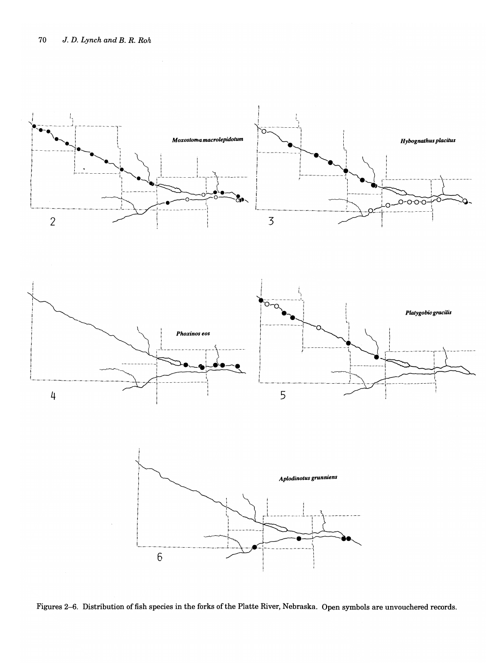





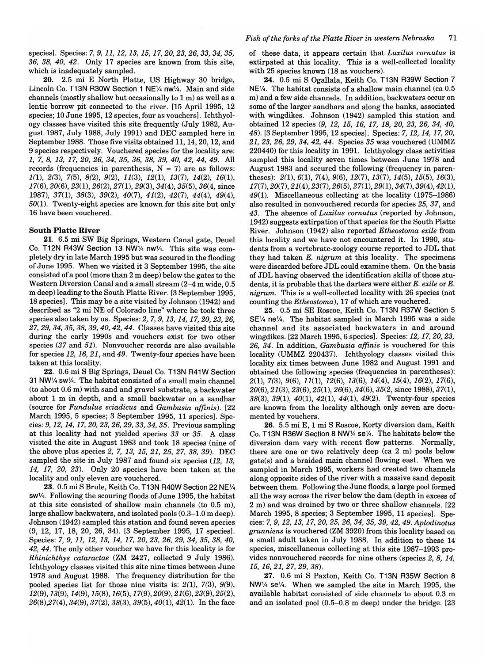speciesl. Species: 7, *9,11,12,13,15,17,20,23,26,33,34,35,*  36, 38, *40,* 42. Only 17 species are known from this site, which is inadequately sampled.

20. 2.5 mi E North Platte, US Highway 30 bridge, Lincoln Co. T13N R30W Section 1 NE1/4 nw1/4. Main and side channels (mostly shallow but occasionally to 1 m) as well as a lentic borrow pit connected to the river. [15 April 1995, 12 species; 10 June 1995, 12 species, four as vouchersl. Ichthyology classes have visited this site frequently (July 1982, August 1987, July 1988, July 1991) and DEC sampled here in September 1988. Those five visits obtained 11, 14, 20, 12, and 9 species respectively. Vouchered species for the locality are: 1, 7, 8, 13, 17, *20,* 26, 34, 35, 36, 38, 39, *40,* 42, 44, 49. All records (frequencies in parenthesis,  $N = 7$ ) are as follows:  $1(1), 2(3), 7(5), 8(2), 9(2), 11(3), 12(1), 13(7), 14(2), 16(1),$ *17(6),20(6),23(1),26(2),27(1),29(3),34(4),35(5),* 36(4, since 1987), 37(1), 38(3), 39(2), *40(7),* 41(2), 42(7), 44(4), 49(4), *50(1).* Twenty-eight species are known for this site but only 16 have been vouchered.

#### South Platte River

21. 6.5 mi SW Big Springs, Western Canal gate, Deuel Co. T12N R43W Section 13 NW% nw%. This site was completely dry in late March 1995 but was scoured in the flooding of June 1995. When we visited it 3 September 1995, the site consisted of a pool (more than 2 m deep) below the gates to the Western Diversion Canal and a small stream (2-4 m wide, 0.5 m deep) leading to the South Platte River. [3 September 1995, 18 speciesl. This may be a site visited by Johnson (1942) and described as "2 mi NE of Colorado line" where he took three species also taken by us. Species: 2, 7, 9, 13, 14, *17,20,23,26,*  27, 29, 34, 35, 38, 39, *40,* 42, 44. Classes have visited this site during the early 1990s and vouchers exist for two other species (37 and 51). Nonvoucher records are also available for species 12, 16, 21, and 49. Twenty-four species have been taken at this locality.

22. 0.6 mi S Big Springs, Deuel Co. T13N R41W Section 31 NW% sw%. The habitat consisted of a small main channel (to about 0.6 m) with sand and gravel substrate, a backwater about 1 m in depth, and a small backwater on a sandbar (source for *Fundulus sciadicus* and *Gambusia affinis).* [22 March 1995, 5 species; 3 September 1995, 11 speciesl. Species: 9, 12, 14, 17, *20,* 23, 26, 29, 33, 34, 35. Previous sampling at this locality had not yielded species 33 or 35. A class visited the site in August 1983 and took 18 species (nine of the above plus species 2, 7, 13, 15, 21, 25, 27, 38, 39). DEC sampled the site in July 1987 and found six species (12, 13, 14, 17, *20,* 23). Only 20 species have been taken at the locality and only eleven are vouchered.

23. 0.5 mi S Brule, Keith Co. T13N R40W Section 22 NE% sw%. Following the scouring floods of June 1995, the habitat at this site consisted of shallow main channels (to 0.5 m), large shallow backwaters, and isolated pools (0.3-1.0 m deep). Johnson (1942) sampled this station and found seven species (9, 12, 17, 18, 20, 26, 34). [3 September 1995, 17 speciesl. Species: 7, 9, 11, 12, 13, 14, 17, *20,* 23, 26, 29, 34, 35, 38, *40,*  42,44. The only other voucher we have for this locality is for *Rhinichthys cataractae* (ZM 2427, collected 9 July 1986). Ichthyology classes visited this site nine times between June 1978 and August 1988. The frequency distribution for the pooled species list for those nine visits is:  $2(1)$ ,  $7(3)$ ,  $9(9)$ , *12(9),13(9),14(9),15(8),16(5),17(9),20(9),21(6),* 23(9), 25(2), *26(8),27(4),34(9),37(2),38(3),39(5),40(1),42(1).* In the face

of these data, it appears certain that *Luxilus cornutus* is extirpated at this locality. This is a well-collected locality with 25 species known (18 as vouchers).

24. 0.5 mi S Ogallala, Keith Co. T13N R39W Section 7 NE%. The habitat consists of a shallow main channel (ca 0.5 m) and a few side channels. In addition, backwaters occur on some of the larger sandbars and along the banks, associated with wingdikes. Johnson (1942) sampled this station and obtained 12 species (9, 12, 15, 16, 17, *18,20,23,26,34,40,*  48). [3 September 1995,12 speciesl. Species: *7,12,14,17,20,*  21, 23, 26, 29, 34, 42, 44. Species 35 was vouchered (UMMZ 220440) for this locality in 1991. Ichthyology class activities sampled this locality seven times between June 1978 and August 1983 and secured the following (frequency in parentheses): 2(1), 6(1), 7(4), 9(6), 12(7), 13(7), 14(5), 15(5), 16(3), *17(7),20(7),21(4),23(7),26(5),27(1),29(1),34(7),* 39(4), 42(1), 49(1). Miscellaneous collecting at the locality (1975-1986) also resulted in nonvouchered records for species 25,37, and 43. The absence of *Luxilus cornutus* (reported by Johnson, 1942) suggests extirpation of that species for the South Platte River. Johnson (1942) also reported *Etheostoma exile* from this locality and we have not encountered it. In 1990, students from a vertebrate-zoology course reported to JDL that they had taken *E. nigrum* at this locality. The specimens were discarded before JDL could examine them. On the basis of JDL having observed the identification skills of those students, it is probable that the darters were either *E. exile* or *E. nigrum.* This is a well-collected locality with 26 species (not counting the *Etheostoma),* 17 of which are vouchered.

25. 0.5 mi SE Roscoe, Keith Co. T13N R37W Section 5 SE% ne%. The habitat sampled in March 1995 was a side channel and its associated backwaters in and around wingdikes. [22 March 1995, 6 speciesl. Species: *12,17,20,23,*  26, 34. In addition, *Gambusia affinis* is vouchered for this locality (UMMZ 220437). Ichthyology classes visited this locality six times between June 1982 and August 1991 and obtained the following species (frequencies in parentheses): 2(1), 7(3), 9(6), 11(1), 12(6), 13(6), 14(4), 15(4), 16(2), 17(6), *20(6),21(3),23(6),25(1),26(6),34(6),35(2,* since 1988),37(1), 38(3), 39(1), *40(1),* 42(1), 44(1), 49(2). Twenty-four species are known from the locality although only seven are documented by vouchers.

26. 5.5 mi E, 1 mi S Roscoe, Korty diversion dam, Keith Co. T13N R36W Section 8 NW% se%. The habitats below the diversion dam vary with recent flow patterns. Normally, there are one or two relatively deep (ca 2 m) pools below gate(s) and a braided main channel flowing east. When we sampled in March 1995, workers had created two channels along opposite sides of the river with a massive sand deposit between them. Following the June floods, a large pool formed all the way across the river below the dam (depth in excess of 2 m) and was drained by two or three shallow channels. [22 March 1995, 8 species; 3 September 1995, 11 speciesl. Species: 7, 9, 12, 13, 17, *20,* 25, 26, 34, 35, 39, 42, 49. *Aplodinotus grunniens* is vouchered (ZM 3920) from this locality based on a small adult taken in July 1988. In addition to these 14 species, miscellaneous collecting at this site 1987-1993 provides nonvouchered records for nine others (species 2, 8, 14, 15, 16,21,27,29, 38).

27. 0.6 mi S Paxton, Keith Co. T13N R35W Section 8 NW% se%. When we sampled the site in March 1995, the available habitat consisted of side channels to about 0.3 m and an isolated pool (0.5-0.8 m deep) under the bridge. [23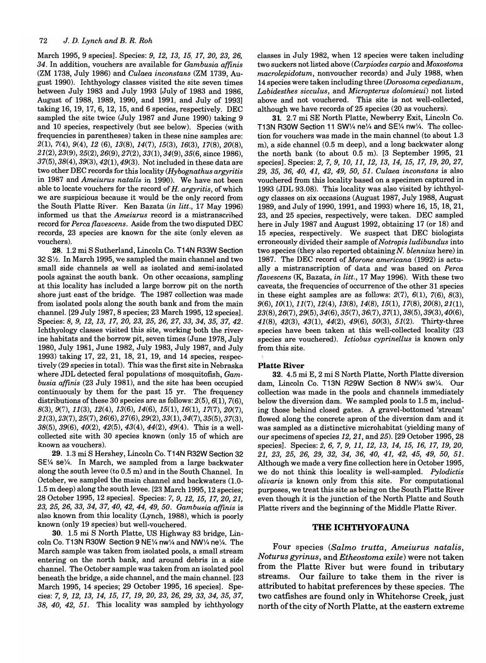March 1995, 9 species]. Species: 9, 12, 13, 15, 17, 20, 23, 26, 34. In addition, vouchers are available for *Gambusia affinis*  (ZM 1738, July 1986) and *Culaea inconstans* (ZM 1739, August 1990). Ichthyology classes visited the site seven times between July 1983 and July 1993 [July of 1983 and 1986, August of 1988, 1989, 1990, and 1991, and July of 19931 taking 16, 19,17,6,12,15, and 6 species, respectively. DEC sampled the site twice (July 1987 and June 1990) taking 9 and 10 species, respectively (but see below). Species (with frequencies in parentheses) taken in these nine samples are: 2(1), 7(4), 9(4), 12 (6), 13(8), 14(7), 15(3), 16(3), 17(8), *20(8),*  21(2),23(9),25(2),26(9),27(2),33(1),34(9),35(6, since 1986),  $37(5)$ ,  $38(4)$ ,  $39(3)$ ,  $42(1)$ ,  $49(3)$ . Not included in these data are two other DEC records for this locality *(Hybognathus argyritis*  in 1987 and *Ameiurus natalis* in 1990). We have not been able to locate vouchers for the record of H. *argyritis,* of which we are suspicious because it would be the only record from the South Platte River. Ken Bazata *(in litt.,* 17 May 1996) informed us that the *Ameiurus* record is a mistranscribed record for *Perca flavescens.* Aside from the two disputed DEC records, 23 species are known for the site (only eleven as vouchers).

28. 1.2 mi S Sutherland, Lincoln Co. T14N R33W Section 32 S<sup>1</sup>/<sub>2</sub>. In March 1995, we sampled the main channel and two small side channels as well as isolated and semi-isolated pools against the south bank. On other occasions, sampling at this locality has included a large borrow pit on the north shore just east of the bridge. The 1987 collection was made from isolated pools along the south bank and from the main channel. [29 July 1987, 8 species; 23 March 1995, 12 species1. Species: 8,9, 12, 13, *17,20,23,25,26,27,33,34,35,37,42.*  Ichthyology classes visited this site, working both the riverine habitats and the borrow pit, seven times (June 1978, July 1980, July 1981, June 1982, July 1983, July 1987, and July 1993) taking 17, 22, 21, 18, 21, 19, and 14 species, respectively (29 species in total). This was the first site in Nebraska where JDL detected feral populations of mosquitofish, *Gambusia affinis* (23 July 1981), and the site has been occupied continuously by them for the past 15 yr. The frequency distributions of these 30 species are as follows:  $2(5)$ ,  $6(1)$ ,  $7(6)$ , 8(3), 9(7), 11(3), 12(4), 13(6), 14(6), 15(1), 16(1), *17(7),20(7),*   $21(3),23(7),25(7),26(6),27(6),29(2),33(1),34(7),35(5),37(3),$ 38(5), 39(6), *40(2),* 42(5), 43(4), 44(2), 49(4). This is a wellcollected site with 30 species known (only 15 of which are known as vouchers).

29. 1.3 mi S Hershey, Lincoln Co. T14N R32W Section 32  $SE\%$  se $\%$ . In March, we sampled from a large backwater along the south levee (to 0.5 m) and in the South Channel. In October, we sampled the main channel and backwaters (1.0- 1.5 m deep) along the south levee. [23 March 1995, 12 species; 28 October 1995, 12 species]. Species: 7, 9, 12, 15, 17, 20, 21, *23,25,26,33,34,37,40,42,44,49,50. Gambusia affinis* is also known from this locality (Lynch, 1988), which is poorly known (only 19 species) but well-vouchered.

30. 1.5 mi S North Platte, US Highway 83 bridge, Lincoln Co. T13N R30W Section 9 NE1/4 nw1/4 and NW1/4 ne1/4. The March sample was taken from isolated pools, a small stream entering on the north bank, and around debris in a side channel. The October sample was taken from an isolated pool beneath the bridge, a side channel, and the main channel. [23 March 1995, 14 species; 29 October 1995, 16 species]. Species: 7, 9, 12, 13, 14, 15, 17, *19,20,23,26,29,33,34,35,37, 38, 40,* 42, 51. This locality was sampled by ichthyology

classes in July 1982, when 12 species were taken including two suckers not listed above *(Carpiodes carpio* and *Moxostoma macrolepidotum,* nonvoucher records) and July 1988, when 14 species were taken including three *(Dorosoma cepedianum, Labidesthes sicculus,* and *Micropterus dolomieui)* not listed above and not vouchered. This site is not well-collected, although we have records of 25 species (20 as vouchers).

31. 2.7 mi SE North Platte, Newberry Exit, Lincoln Co. T13N R30W Section 11 SW1/4 ne1/4 and SE1/4 nw1/4. The collection for vouchers was made in the main channel (to about 1.3 m), a side channel (0.5 m deep), and a long backwater along the north bank (to about 0.5 m). [3 September 1995, 21 species1. Species: 2, 7,9, *10,* 11, 12, 13, 14, 15, 17, *19,20,27,*  29, 35, 36, *40,* 41, 42, 49, *50,* 51. *Culaea inconstans* is also vouchered from this locality based on a specimen captured in 1993 (JDL 93.08). This locality was also visited by ichthyology classes on six occasions (August 1987, July 1988, August 1989, and July of 1990, 1991, and 1993) where 16, 15, 18, 21, 23, and 25 species, respectively, were taken. DEC sampled here in July 1987 and August 1992, obtaining 17 (or 18) and 15 species, respectively. We suspect that DEC biologists erroneously divided their sample of *Notropis ludibundus* into two species (they also reported obtaining *N. blennius* here) in 1987. The DEC record of *Morone americana* (1992) is actually a mistranscription of data and was based on *Perca flavescens* (K, Bazata, *in litt.,* 17 May 1996). With these two caveats, the frequencies of occurrence of the other 31 species in these eight samples are as follows:  $2(7)$ ,  $6(1)$ ,  $7(6)$ ,  $8(3)$ , *9(6),10(1),* 11(7), 12(4), 13(8), 14(8), 15(1), *17(8),20(8),21(1),*  23(8),26(7),29(5),34(6),35(7),36(7),37(1), 38(5), 39(3), *40(6),*  41(8), 42(3), 43(1), 44(2), 49(6), *50(3),* 51(2). Thirty-three species have been taken at this well-collected locality (23 species are vouchered). *Ictiobus cyprinellus* is known only from this site.

#### Platte River

32. 4.5 mi E, 2 mi S North Platte, North Platte diversion dam, Lincoln Co. T13N R29W Section 8 NW1/4 sw1/4. Our collection was made in the pools and channels immediately below the diversion dam. We sampled pools to 1.5 m, including those behind closed gates. A gravel-bottomed 'stream' flowed along the concrete apron of the diversion dam and it was sampled as a distinctive microhabitat (yielding many of our specimens of species 12, 21, and 25). [29 October 1995, 28 species1. Species: 2, 6, 7, 9, 11, 12, 13, 14, 15, 16, 17, *19,20,*  21, 23, 25, 26, 29, 32, 34, 36, *40,* 41, 42, 45, 49, *50, 51.*  Although we made a very fine collection here in October 1995, we do not think this locality is well-sampled. *Pylodictis olivaris* is known only from this site. For computational purposes, we treat this site as being on the South Platte River even though it is the junction of the North Platte and South Platte rivers and the beginning of the Middle Platte River.

### THE ICHTHYOFAUNA

Four species *(Salmo trutta, Ameiurus natalis, Noturus gyrinus,* and *Etheostoma exile)* were not taken from the Platte River but were found in tributary streams. Our failure to take them in the river is attributed to habitat preferences by these species. The two catfishes are found only in Whitehorse Creek, just north of the city of North Platte, at the eastern extreme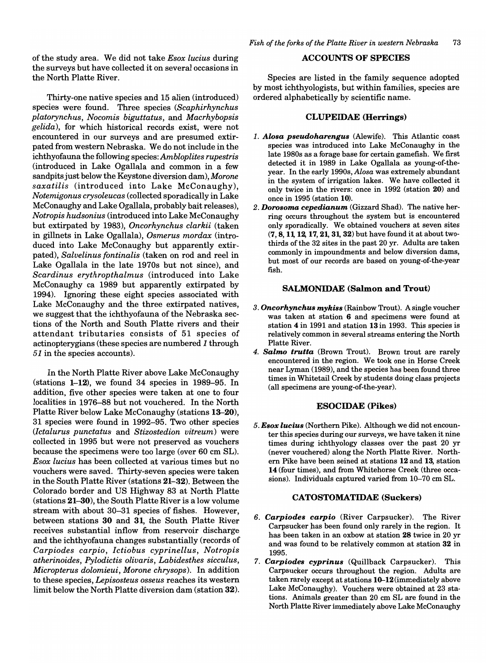of the study area. We did not take *Esox lucius* during the surveys but have collected it on several occasions in the North Platte River.

Thirty-one native species and 15 alien (introduced) species were found. Three species *(Scaphirhynchus platorynchus, Nocomis biguttatus,* and *Macrhybopsis gelida)*, for which historical records exist, were not encountered in our surveys and are presumed extirpated from western Nebraska. We do not include in the ichthyofauna the following species: *Ambloplites rupestris*  (introduced in Lake Ogallala and common in a few sandpits just below the Keystone diversion dam), *Morone saxatilis* (introduced into Lake McConaughy), *Notemigonus crysoleucas* (collected sporadically in Lake McConaughy and Lake Ogallala, probably bait releases), *Notropis hudsonius* (introduced into Lake McConaughy but extirpated by 1983), *Oncorhynchus clarkii* (taken in gillnets in Lake Ogallala), *Osmerus mordax* (introduced into Lake McConaughy but apparently extirpated), *Salvelinus fontinalis* (taken on rod and reel in Lake Ogallala in the late 1970s but not since), and *Scardinus erythropthalmus* (introduced into Lake McConaughy ca 1989 but apparently extirpated by 1994). Ignoring these eight species associated with Lake McConaughy and the three extirpated natives, we suggest that the ichthyofauna of the Nebraska sections of the North and South Platte rivers and their attendant tributaries consists of 51 species of actinopterygians (these species are numbered 1 through 51 in the species accounts).

In the North Platte River above Lake McConaughy  $(\text{stations } 1-12)$ , we found 34 species in 1989–95. In addition, five other species were taken at one to four localities in 1976-88 but not vouchered. In the North Platte River below Lake McConaughy (stations 13-20), 31 species were found in 1992-95. Two other species *(lctalurus punctatus* and *Stizostedion vitreum)* were collected in 1995 but were not preserved as vouchers because the specimens were too large (over 60 cm SL). *Esox lucius* has been collected at various times but no vouchers were saved. Thirty-seven species were taken in the South Platte River (stations 21-32). Between the Colorado border and US Highway 83 at North Platte (stations 21-30), the South Platte River is a low volume stream with about 30-31 species of fishes. However, between stations 30 and 31, the South Platte River receives substantial inflow from reservoir discharge and the ichthyofauna changes substantially (records of *Carpiodes carpio, Ictiobus cyprinellus, Notropis atherinoides, Pylodictis olivaris, Labidesthes sicculus, Micropterus dolomieui, Morone chrysops).* In addition to these species, *Lepisosteus osseus* reaches its western limit below the North Platte diversion dam (station 32).

## ACCOUNTS OF SPECIES

Species are listed in the family sequence adopted by most ichthyologists, but within families, species are ordered alphabetically by scientific name.

### CLUPEIDAE (Herrings)

- *1. Alosa pseudoharengus* (Alewife). This Atlantic coast species was introduced into Lake McConaughy in the late 1980s as a forage base for certain gamefish. We first detected it in 1989 in Lake Ogallala as young-of-theyear. In the early 1990s, *Alosa* was extremely abundant in the system of irrigation lakes. We have collected it only twice in the rivers: once in 1992 (station 20) and once in 1995 (station 10).
- *2. DOTOsoma cepedianum* (Gizzard Shad). The native herring occurs throughout the system but is encountered only sporadically. We obtained vouchers at seven sites (7,8,11, 12, 17,21, 31, 32) but have found it at about twothirds of the 32 sites in the past 20 yr. Adults are taken commonly in impoundments and below diversion dams, but most of our records are based on young-of-the-year fish.

## SALMONIDAE (Salmon and Trout)

- *3. Oncorhynchus mykiss* (Rainbow Trout). A single voucher was taken at station 6 and specimens were found at station 4 in 1991 and station 13 in 1993. This species is relatively common in several streams entering the North Platte River.
- *4. Salmo trutta* (Brown Trout). Brown trout are rarely encountered in the region. We took one in Horse Creek near Lyman (1989), and the species has been found three times in Whitetail Creek by students doing class projects (all specimens are young-of-the-year).

## ESOCIDAE (Pikes)

*5. Esox lucius* (Northern Pike). Although we did not encounter this species during our surveys, we have taken it nine times during ichthyology classes over the past 20 yr (never vouchered) along the North Platte River. Northern Pike have been seined at stations 12 and 13, station 14 (four times), and from Whitehorse Creek (three occasions). Individuals captured varied from 10-70 cm SL.

#### CATOSTOMATIDAE (Suckers)

- *6. Carpiodes carpio* (River Carpsucker). The River Carpsucker has been found only rarely in the region. It has been taken in an oxbow at station 28 twice in 20 yr and was found to be relatively common at station 32 in 1995.
- *7. Carpiodes cyprinus* (Quillback Carpsucker). This Carpsucker occurs throughout the region. Adults are taken rarely except at stations 10-12 (immediately above Lake McConaughy). Vouchers were obtained at 23 stations. Animals greater than 20 cm SL are found in the North Platte River immediately above Lake McConaughy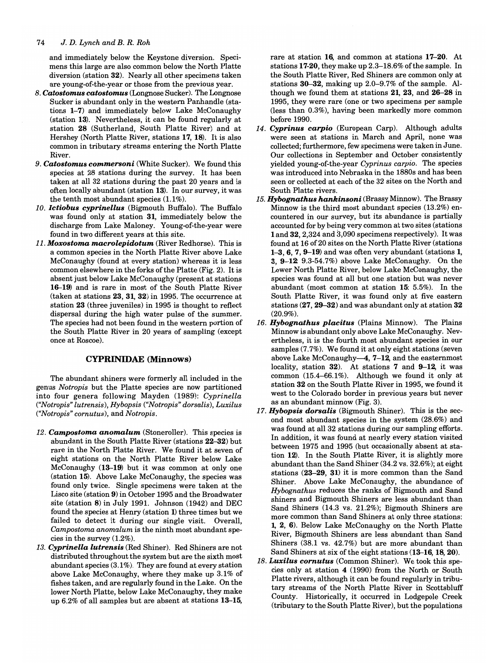and immediately below the Keystone diversion. Specimens this large are also common below the North Platte diversion (station 32). Nearly all other specimens taken are young-of-the-year or those from the previous year.

- *B. Catostomus catostomus* (Longnose Sucker). The Longnose Sucker is abundant only in the western Panhandle (stations 1-7) and immediately below Lake McConaughy (station 13). Nevertheless, it can be found regularly at station 28 (Sutherland, South Platte River) and at Hershey (North Platte River, stations 17, 18). It is also common in tributary streams entering the North Platte River.
- *9. Catostomus commersoni* (White Sucker). We found this species at 28 stations during the survey. It has been taken at all 32 stations during the past 20 years and is often locally abundant (station 13). In our survey, it was the tenth most abundant species (1.1%).
- *10. lctiobus cyprinellus* (Bigmouth Buffalo). The Buffalo was found only at station 31, immediately below the discharge from Lake Maloney. Young-of-the-year were found in two different years at this site.
- *11. Moxostoma macrolepidotum* (River Redhorse). This is a common species in the North Platte River above Lake McConaughy (found at every station) whereas it is less common elsewhere in the forks of the Platte (Fig. 2). It is absent just below Lake McConaughy (present at stations 16-19) and is rare in most of the South Platte River (taken at stations 23, 31, 32) in 1995. The occurrence at station 23 (three juveniles) in 1995 is thought to reflect dispersal during the high water pulse of the summer. The species had not been found in the western portion of the South Platte River in 20 years of sampling (except once at Roscoe).

## CYPRINIDAE (Minnows)

The abundant shiners were formerly all included in the genus *Notropis* but the Platte species are now partitioned into four genera following Mayden (1989): *Cyprinella ("Notropis" lutrensis), Hybopsis ("Notropis" dorsalis), Luxilus ("Notropis" cornutus),* and *Notropis.* 

- *12. Campostoma anomalum* (Stoneroller). This species is abundant in the South Platte River (stations 22-32) but rare in the North Platte River. We found it at seven of eight stations on the North Platte River below Lake McConaughy (13-19) but it was common at only one (station 15). Above Lake McConaughy, the species was found only twice. Single specimens were taken at the Lisco site (station 9) in October 1995 and the Broadwater site (station 8) in July 1991. Johnson (1942) and DEC found the species at Henry (station 1) three times but we failed to detect it during our single visit. Overall, *Campostoma anomalum* is the ninth most abundant species in the survey (1.2%).
- *13. Cyprinella lutrensis* (Red Shiner). Red Shiners are not distributed throughout the system but are the sixth most abundant species (3.1%). They are found at every station above Lake McConaughy, where they make up 3.1% of fishes taken, and are regularly found in the Lake. On the lower North Platte, below Lake McConaughy, they make up 6.2% of all samples but are absent at stations 13-15,

rare at station 16, and common at stations 17-20. At stations 17-20, they make up 2.3-18.6% of the sample. In the South Platte River, Red Shiners are common only at stations 30-32, making up 2.0-9.7% of the sample. Although we found them at stations 21, 23, and 26-28 in 1995, they were rare (one or two specimens per sample (less than 0.3%), having been markedly more common before 1990.

- *14. Cyprinus carpio* (European Carp). Although adults were seen at stations in March and April, none was collected; furthermore, few specimens were taken in June. Our collections in September and October consistently yielded young-of-the-year *Cyprinus carpio.* The species was introduced into Nebraska in the 1880s and has been seen or collected at each of the 32 sites on the North and South Platte rivers.
- *15. Hybognathus hankinsoni* (Brassy Minnow). The Brassy Minnow is the third most abundant species (13.2%) encountered in our survey, but its abundance is partially accounted for by being very common at two sites (stations 1 and 32, 2,324 and 3,090 specimens respectively). It was found at 16 of 20 sites on the North Platte River (stations 1-3,6,7,9-19) and was often very abundant (stations 1, 3,  $9-12$  9.3-54.7%) above Lake McConaughy. On the Lower North Platte River, below Lake McConaughy, the species was found at all but one station but was never abundant (most common at station 15: 5.5%). In the South Platte River, it was found only at five eastern stations (27, 29-32) and was abundant only at station 32 (20.9%).
- *16. Hybognathus placitus* (Plains Minnow). The Plains Minnow is abundant only above Lake McConaughy. Nevertheless, it is the fourth most abundant species in our samples (7.7%). We found it at only eight stations (seven above Lake McConaughy-4, 7-12, and the easternmost locality, station  $32$ ). At stations 7 and  $9-12$ , it was common (15.4-66.1%). Although we found it only at station 32 on the South Platte River in 1995, we found it west to the Colorado border in previous years but never as an abundant minnow (Fig. 3).
- *17. Hybopsis dorsalis* (Bigmouth Shiner). This is the second most abundant species in the system (28.6%) and was found at all 32 stations during our sampling efforts. In addition, it was found at nearly every station visited between 1975 and 1995 (but occasionally absent at station 12). In the South Platte River, it is slightly more abundant than the Sand Shiner (34.2 vs. 32.6%); at eight stations (23-29, 31) it is more common than the Sand Shiner. Above Lake McConaughy, the abundance of *Hybognathus* reduces the ranks of Bigmouth and Sand shiners and Bigmouth Shiners are less abundant than Sand Shiners (14.3 vs. 21.2%); Bigmouth Shiners are more common than Sand Shiners at only three stations: 1, 2, 6). Below Lake McConaughy on the North Platte River, Bigmouth Shiners are less abundant than Sand Shiners (38.1 vs. 42.7%) but are more abundant than Sand Shiners at six of the eight stations (13-16, 18, 20).
- *lB. Luxilus cornutus* (Common Shiner). We took this species only at station 4 (1990) from the North or South Platte rivers, although it can be found regularly in tributary streams of the North Platte River in Scottsbluff County. Historically, it occurred in Lodgepole Creek (tributary to the South Platte River), but the populations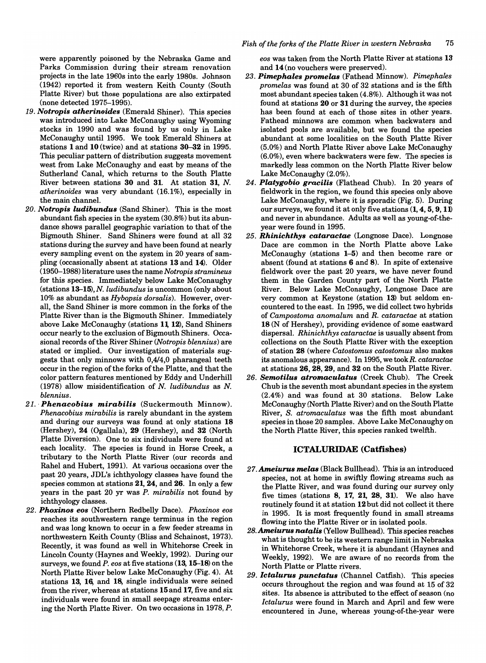were apparently poisoned by the Nebraska Game and Parks Commission during their stream renovation projects in the late 1960s into the early 1980s. Johnson (1942) reported it from western Keith County (South Platte River) but those populations are also extirpated (none detected 1975-1995).

- *19. Notropis atherinoides* (Emerald Shiner). This species was introduced into Lake McConaughy using Wyoming stocks in 1990 and was found by us only in Lake McConaughy until 1995. We took Emerald Shiners at stations 1 and 10 (twice) and at stations  $30-32$  in 1995. This peculiar pattern of distribution suggests movement west from Lake McConaughy and east by means of the Sutherland Canal, which returns to the South Platte River between stations 30 and 31. At station 31, N. *atherinoides* was very abundant (16.1%), especially in the main channel.
- *20. Notropis ludibundus* (Sand Shiner). This is the most abundant fish species in the system (30.8%) but its abundance shows parallel geographic variation to that of the Bigmouth Shiner. Sand Shiners were found at all 32 stations during the survey and have been found at nearly every sampling event on the system in 20 years of sampling (occasionally absent at stations 13 and 14). Older (1950-1988) literature uses the name *Notropis stramineus*  for this species. Immediately below Lake McConaughy (stations 13-15), N. *ludibundus* is uncommon (only about 10% as abundant as *Hybopsis dorsalis).* However, overall, the Sand Shiner is more common in the forks of the Platte River than is the Bigmouth Shiner. Immediately above Lake McConaughy (stations 11, 12), Sand Shiners occur nearly to the exclusion of Bigmouth Shiners. Occasional records of the River Shiner *(Notropis blennius)* are stated or implied. Our investigation of materials suggests that only minnows with *0,414,0* pharangeal teeth occur in the region of the forks of the Platte, and that the color pattern features mentioned by Eddy and Underhill (1978) allow misidentification of N. *ludibundus* as N. *blennius.*
- *21.' Phenacobius mirabilis* (Suckermouth Minnow). *Phenacobius mirabilis* is rarely abundant in the system and during our surveys was found at only stations 18 (Hershey), 24 (Ogallala), 29 (Hershey), and 32 (North Platte Diversion). One to six individuals were found at each locality. The species is found in Horse Creek, a tributary to the North Platte River (our records and Rahel and Hubert, 1991). At various occasions over the past 20 years, JDL's ichthyology classes have found the species common at stations 21, 24, and 26. In only a few years in the past 20 yr was *P. mirabilis* not found by ichthyology classes.
- *22. Phoxinos eos* (Northern Redbelly Dace). *Phoxinos eos*  reaches its southwestern range terminus in the region and was long known to occur in a few feeder streams in northwestern Keith County (Bliss and Schainost, 1973). Recently, it was found as well in Whitehorse Creek in Lincoln County (Haynes and Weekly, 1992). During our surveys, we found *P. eos* at five stations (13, 15-18) on the North Platte River below Lake McConaughy (Fig. 4). At stations 13, 16, and 18, single individuals were seined from the river, whereas at stations 15and 17, five and six individuals were found in small seepage streams entering the North Platte River. On two occasions in 1978, P.

*eos* was taken from the North Platte River at stations 13 and 14 (no vouchers were preserved).

- *23. Pimephales promelas* (Fathead Minnow). *Pimephales promelas* was found at 30 of 32 stations and is the fifth most abundant species taken (4.8%). Although it was not found at stations 20 or 31 during the survey, the species has been found at each of those sites in other years. Fathead minnows are common when backwaters and isolated pools are available, but we found the species abundant at some localities on the South Platte River (5.0%) and North Platte River above Lake McConaughy (6.0%), even where backwaters were few. The species is markedly less common on the North Platte River below Lake McConaughy (2.0%).
- *24. Platygobio gracilis* (Flathead Chub). In 20 years of fieldwork in the region, we found this species only above Lake McConaughy, where it is sporadic (Fig. 5). During our surveys, we found it at only five stations (1, 4, 5, 9, 11) and never in abundance. Adults as well as young-of-theyear were found in 1995.
- *25. Rhinichthys cataractae* (Longnose Dace). Longnose Dace are common in the North Platte above Lake McConaughy (stations 1-5) and then become rare or absent (found at stations 6 and 8). In spite of extensive fieldwork over the past 20 years, we have never found them in the Garden County part of the North Platte River. Below Lake McConaughy, Longnose Dace are very common at Keystone (station 13) but seldom encountered to the east. In 1995, we did collect two hybrids of *Campostoma anomalum* and *R. cataractae* at station 18 (N of Hershey), providing evidence of some eastward dispersal. *Rhinichthys cataractae* is usually absent from collections on the South Platte River with the exception of station 28 (where *Catostomus catostomus* also makes its anomalous appearance). In 1995, we *tookR. cataractae*  at stations 26, 28, 29, and 32 on the South Platte River.
- 26. *Semotilus atromaculatus* (Creek Chub). The Creek Chub is the seventh most abundant species in the system (2.4%) and was found at 30 stations. Below Lake McConaughy (North Platte River) and on the South Platte River, S. *atromaculatus* was the fifth most abundant species in those 20 samples. Above Lake McConaughy on the North Platte River, this species ranked twelfth.

### ICTALURIDAE (Catfishes)

- 27. **Ameiurus melas** (Black Bullhead). This is an introduced species, not at home in swiftly flowing streams such as the Platte River, and was found during our survey only five times (stations 8, 17, 21, 28, 31). We also have routinely found it at station 12 but did not collect it there in 1995. It is most frequently found in small streams flowing into the Platte River or in isolated pools.
- 28. **Ameiurus natalis** (Yellow Bullhead). This species reaches what is thought to be its western range limit in Nebraska in Whitehorse Creek, where it is abundant (Haynes and Weekly, 1992). We are aware of no records from the North Platte or Platte rivers.
- 29. Ictalurus punctatus (Channel Catfish). This species occurs throughout the region and was found at 15 of 32 sites. Its absence is attributed to the effect of season (no *Ictalurus* were found in March and April and few were encountered in June, whereas young-of-the-year were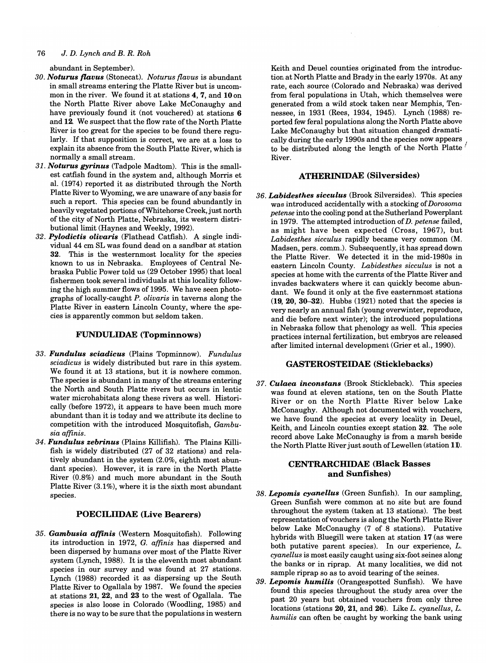abundant in September).

- *30. Noturus flavus* (Stonecat). *Noturus flavus* is abundant in small streams entering the Platte River but is uncommon in the river. We found it at stations 4, 7, and 10 on the North Platte River above Lake McConaughy and have previously found it (not vouchered) at stations 6 and 12. We suspect that the flow rate of the North Platte River is too great for the species to be found there regularly. If that supposition is correct, we are at a loss to explain its absence from the South Platte River, which is normally a small stream.
- *31. Noturus gyrinus* (Tadpole Madtom). This is the smallest catfish found in the system and, although Morris et al. (1974) reported it as distributed through the North Platte River to Wyoming, we are unaware of any basis for such a report. This species can be found abundantly in heavily vegetated portions of Whitehorse Creek, just north of the city of North Platte, Nebraska, its western distributional limit (Haynes and Weekly, 1992).
- *32. Pylodictis olivaris* (Flathead Catfish). A single individual 44 cm SL was found dead on a sandbar at station 32. This is the westernmost locality for the species known to us in Nebraska. Employees of Central Nebraska Public Power told us (29 October 1995) that local fishermen took several individuals at this locality following the high summer flows of 1995. We have seen photographs of locally-caught *P. olivaris* in taverns along the Platte River in eastern Lincoln County, where the species is apparently common but seldom taken.

### FUNDULIDAE (Topminnows)

- *33. Fundulus sciadicus* (Plains Topminnow). *Fundulus sciadicus* is widely distributed but rare in this system. We found it at 13 stations, but it is nowhere common. The species is abundant in many of the streams entering the North and South Platte rivers but occurs in lentic water microhabitats along these rivers as well. Historically (before 1972), it appears to have been much more abundant than it is today and we attribute its decline to competition with the introduced Mosquitofish, *Gambusia affinis.*
- *34. Fundulus zebrinus* (Plains Killifish). The Plains Killifish is widely distributed (27 of 32 stations) and relatively abundant in the system (2.0%, eighth most abundant species). However, it is rare in the North Platte River (0.8%) and much more abundant in the South Platte River (3.1%), where it is the sixth most abundant species.

## POECILIIDAE (Live Bearers)

*35. Gambusia a(finis* (Western Mosquitofish). Following its introduction in 1972, G. *affinis* has dispersed and been dispersed by humans over most of the Platte River system (Lynch, 1988). It is the eleventh most abundant species in our survey and was found at 27 stations. Lynch (1988) recorded it as dispersing up the South Platte River to Ogallala by 1987. We found the species at stations 21, 22, and 23 to the west of Ogallala. The species is also loose in Colorado (Woodling, 1985) and there is no way to be sure that the populations in western

Keith and Deuel counties originated from the introduction at North Platte and Brady in the early 1970s. At any rate, each source (Colorado and Nebraska) was derived from feral populations in Utah, which themselves were generated from a wild stock taken near Memphis, Tennessee, in 1931 (Rees, 1934, 1945). Lynch (1988) reported few feral populations along the North Platte above Lake McConaughy but that situation changed dramatically during the early 1990s and the species now appears to be distributed along the length of the North Platte' River.

## ATHERINIDAE (Silversides)

*36. Labidesthes sicculus* (Brook Silversides). This species was introduced accidentally with a stocking of *Dorosoma petense* into the cooling pond at the Sutherland Powerplant in 1979. The attempted introduction of *D. petense* failed, as might have been expected (Cross, 1967), but *Labidesthes sicculus* rapidly became very common (M. Madsen, pers. comm.). Subsequently, it has spread down the Platte River. We detected it in the mid-1980s in eastern Lincoln County. *Labidesthes sicculus* is not a species at home with the currents of the Platte River and invades backwaters where it can quickly become abundant. We found it only at the five easternmost stations  $(19, 20, 30-32)$ . Hubbs  $(1921)$  noted that the species is very nearly an annual fish (young overwinter, reproduce, and die before next winter); the introduced populations in Nebraska follow that phenology as well. This species practices internal fertilization, but embryos are released after limited internal development (Grier et al., 1990).

## GASTEROSTEIDAE (Sticklebacks)

*37. Culaea inconstans* (Brook Stickleback). This species was found at eleven stations, ten on the South Platte River or on the North Platte River below Lake McConaughy. Although not documented with vouchers, we have found the species at every locality in Deuel, Keith, and Lincoln counties except station 32. The sole record above Lake McConaughy is from a marsh beside the North Platte River just south of Lewellen (station 11).

## CENTRARCIllDAE (Black Basses and Sunfishes)

- *38. Lepomis cyanellus* (Green Sunfish). In our sampling, Green Sunfish were common at no site but are found throughout the system (taken at 13 stations). The best representation of vouchers is along the North Platte River below Lake McConaughy (7 of 8 stations). Putative hybrids with Bluegill were taken at station 17 (as were both putative parent species). In our experience, *L. cyanellus* is most easily caught using six-foot seines along the banks or in riprap. At many localities, we did not sample riprap so as to avoid tearing of the seines.
- *39. Lepomis humilis* (Orangespotted Sunfish). We have found this species throughout the study area over the past 20 years but obtained vouchers from only three locations (stations 20, 21, and 26). Like *L. cyanellus, L. humilis* can often be caught by working the bank using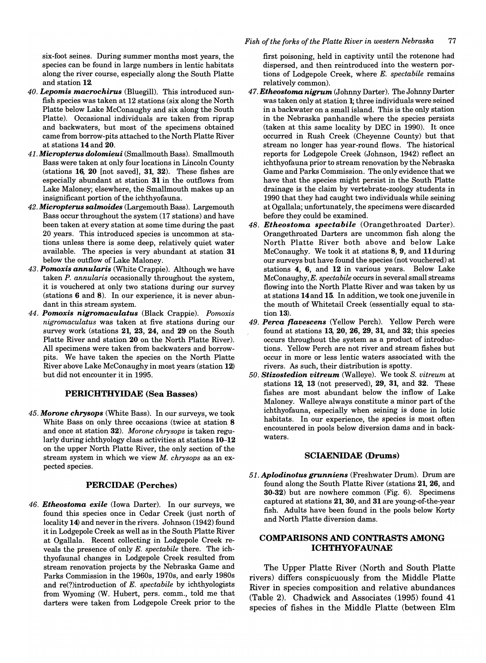six-foot seines. During summer months most years, the species can be found in large numbers in lentic habitats along the river course, especially along the South Platte and station 12.

- *40. Lepomis macrochirus* (Bluegill). This introduced sunfish species was taken at 12 stations (six along the North Platte below Lake McConaughy and six along the South Platte). Occasional individuals are taken from riprap and backwaters, but most of the specimens obtained came from borrow-pits attached to the North Platte River at stations 14 and 20.
- *41. Micropterus dolomieui* (Smallmouth Bass). Smallmouth Bass were taken at only four locations in Lincoln County (stations  $16, 20$  [not saved],  $31, 32$ ). These fishes are especially abundant at station 31 in the outflows from Lake Maloney; elsewhere, the Smallmouth makes up an insignificant portion of the ichthyofauna.
- *42. Micropterus salmoides* (Largemouth Bass). Largemouth Bass occur throughout the system (17 stations) and have been taken at every station at some time during the past 20 years. This introduced species is uncommon at stations unless there is some deep, relatively quiet water available. The species is very abundant at station 31 below the outflow of Lake Maloney.
- *43. Pomoxis annularis* (White Crappie). Although we have taken *P. annularis* occasionally throughout the system, it is vouchered at only two stations during our survey (stations 6 and 8). In our experience, it is never abundant in this stream system.
- *44. Pomoxis nigromaculatus* (Black Crappie). *Pomoxis nigromaculatus* was taken at five stations during our survey work (stations 21, 23, 24, and 29 on the South Platte River and station 20 on the North Platte River). All specimens were taken from backwaters and borrowpits. We have taken the species on the North Platte River above Lake McConaughy in most years (station 12) but did not encounter it in 1995.

### PERICHTHYIDAE (Sea Basses)

*45. Morone chrysops* (White Bass). In our surveys, we took White Bass on only three occasions (twice at station 8 and once at station 32). *Morone chrysops* is taken regularly during ichthyology class activities at stations 10-12 on the upper North Platte River, the only section of the stream system in which we view *M. chrysops* as an expected species.

## PERCIDAE (Perches)

*46. Etheostoma exile* (Iowa Darter). In our surveys, we found this species once in Cedar Creek (just north of locality 14) and never in the rivers. Johnson (1942) found it in Lodgepole Creek as well as in the South Platte River at Ogallala. Recent collecting in Lodgepole Creek reveals the presence of only *E. spectabile* there. The ichthyofaunal changes in Lodgepole Creek resulted from stream renovation projects by the Nebraska Game and Parks Commission in the 1960s, 1970s, and early 1980s and re(?)introduction of *E. spectabile* by ichthyologists from Wyoming (W. Hubert, pers. comm., told me that darters were taken from Lodgepole Creek prior to the

first poisoning, held in captivity until the rotenone had dispersed, and then reintroduced into the western portions of Lodgepole Creek, where *E. spectabile* remains relatively common).

- *47. Etheostoma nigrum* (Johnny Darter). The Johnny Darter was taken only at station 1; three individuals were seined in a backwater on a small island. This is the only station in the Nebraska panhandle where the species persists (taken at this same locality by DEC in 1990). It once occurred in Rush Creek (Cheyenne County) but that stream no longer has year-round flows. The historical reports for Lodgepole Creek (Johnson, 1942) reflect an ichthyofauna prior to stream renovation by the Nebraska Game and Parks Commission. The only evidence that we have that the species might persist in the South Platte drainage is the claim by vertebrate-zoology students in 1990 that they had caught two individuals while seining at Ogallala; unfortunately, the specimens were discarded before they could be examined.
- *48. Etheostoma spectabile* (Orangethroated Darter). Orangethroated Darters are uncommon fish along the North Platte River both above and below Lake McConaughy. We took it at stations 8, 9, and llduring our surveys but have found the species (not vouchered) at stations 4, 6, and 12 in various years. Below Lake McConaughy, *E. spectabile* occurs in several small streams flowing into the North Platte River and was taken by us at stations 14 and 15. In addition, we took one juvenile in the mouth of Whitetail Creek (essentially equal to station 13).
- *49. Perca flavescens* (Yellow Perch). Yellow Perch were found at stations 13, 20, 26, 29, 31, and 32; this species occurs throughout the system as a product of introductions. Yellow Perch are not river and stream fishes but occur in more or less lentic waters associated with the rivers. As such, their distribution is spotty.
- *50. Stizostedion vitreum* (Walleye). We took S. *vitreum* at stations 12, 13 (not preserved), 29, 31, and 32. These fishes are most abundant below the inflow of Lake Maloney. Walleye always constitute a minor part of the ichthyofauna, especially when seining is done in lotic habitats. In our experience, the species is most often encountered in pools below diversion dams and in backwaters.

## SCIAENIDAE (Drums)

*51. Aplodinotus grunniens* (Freshwater Drum). Drum are found along the South Platte River (stations 21, 26, and 30-32) but are nowhere common (Fig. 6). Specimens captured at stations 21, 30, and 31 are young-of-the-year fish. Adults have been found in the pools below Korty and North Platte diversion dams.

## COMPARISONS AND CONTRASTS AMONG ICHTHYOFAUNAE

The Upper Platte River (North and South Platte rivers) differs conspicuously from the Middle Platte River in species composition and relative abundances (Table 2). Chadwick and Associates (1995) found 41 species of fishes in the Middle Platte (between Elm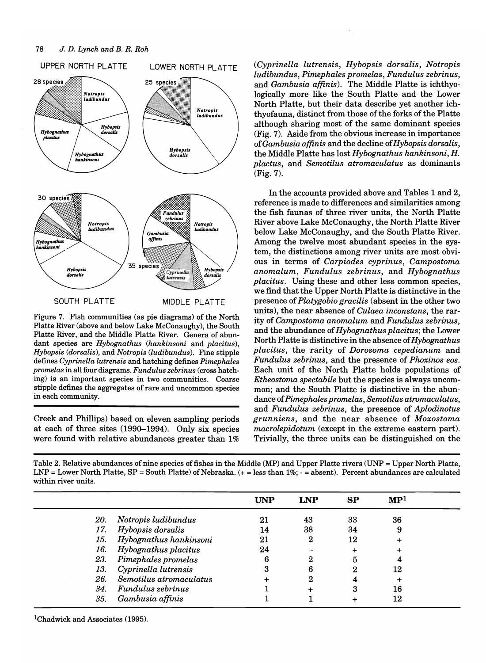

Figure 7. Fish communities (as pie diagrams) of the North Platte River (above and below Lake McConaughy), the South Platte River, and the Middle Platte River. Genera of abundant species are *Hybognathus (hankinsoni* and *placitus), Hybopsis (dorsalis),* and *Notropis (ludibundus).* Fine stipple defines *Cyprinella lutrensis* and hatching defines *Pimephales promelas* in all four diagrams. *Fundulus zebrinus* (cross hatching) is an important species in two communities. Coarse stipple defines the aggregates of rare and uncommon species in each community.

Creek and Phillips) based on eleven sampling periods at each of three sites (1990-1994). Only six species were found with relative abundances greater than 1% *(Cyprinella lutrensis, Hybopsis dorsalis, Notropis ludibundus, Pimephales promelas, Fundulus zebrinus,*  and *Gambusia affinis).* The Middle Platte is ichthyologically more like the South Platte and the Lower North Platte, but their data describe yet another ichthyofauna, distinct from those of the forks of the Platte although sharing most of the same dominant species (Fig. 7). Aside from the obvious increase in importance *ofGambusia affinis* and the decline *ofHybopsis dorsalis,*  the Middle Platte has lost *Hybognathus hankinsoni,* H. *plactus,* and *Semotilus atromaculatus* as dominants (Fig. 7).

In the accounts provided above and Tables 1 and 2, reference is made to differences and similarities among the fish faunas of three river units, the North Platte River above Lake McConaughy, the North Platte River below Lake McConaughy, and the South Platte River. Among the twelve most abundant species in the system, the distinctions among river units are most obvious in terms of *Carpiodes cyprinus, Campostoma anomalum, Fundulus zebrinus,* and *Hybognathus placitus.* Using these and other less common species, we find that the Upper North Platte is distinctive in the presence of *Platygobio gracilis* (absent in the other two units), the near absence of *Culaea inconstans,* the rarity of *Campostoma anomalum* and *Fundulus zebrinus,*  and the abundance of *Hybognathus placitus;* the Lower North Platte is distinctive in the absence of *Hybognathus placitus,* the rarity of *Dorosoma cepedianum* and *Fundulus zebrinus,* and the presence of *Phoxinos eos.*  Each unit of the North Platte holds populations of *Etheostoma spectabile* but the species is always uncommon; and the South Platte is distinctive in the abundance of *Pimephales promelas, Semotilus atromaculatus,*  and *Fundulus zebrinus,* the presence of *Aplodinotus grunniens,* and the near absence of *Moxostoma macrolepidotum* (except in the extreme eastern part). Trivially, the three units can be distinguished on the

Table 2. Relative abundances of nine species of fishes in the Middle (MP) and Upper Platte rivers (UNP = Upper North Platte, LNP = Lower North Platte, SP = South Platte) of Nebraska. (+ = less than 1%; - = absent). Percent abundances are calculated within river units.

|     |                         | UNP | <b>LNP</b> | SP | $\mathbf{MP}^{1}$ |  |
|-----|-------------------------|-----|------------|----|-------------------|--|
| 20. | Notropis ludibundus     | 21  | 43         | 33 | 36                |  |
| 17. | Hybopsis dorsalis       | 14  | 38         | 34 | 9                 |  |
| 15. | Hybognathus hankinsoni  | 21  | 2          | 12 |                   |  |
| 16. | Hybognathus placitus    | 24  |            |    |                   |  |
| 23. | Pimephales promelas     | 6   |            | 5  |                   |  |
| 13. | Cyprinella lutrensis    | 3   | 6          | 2  | 12                |  |
| 26. | Semotilus atromaculatus |     | 2          |    |                   |  |
| 34. | Fundulus zebrinus       |     |            | 3  | 16                |  |
| 35. | Gambusia affinis        |     |            |    | 12                |  |

<sup>1</sup>Chadwick and Associates (1995).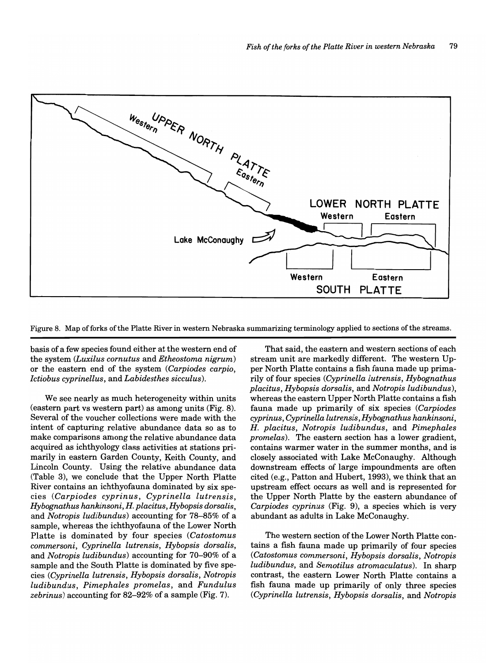

Figure 8. Map of forks of the Platte River in western Nebraska summarizing terminology applied to sections of the streams.

basis of a few species found either at the western end of the system *(Luxilus cornutus* and *Etheostoma nigrum)*  or the eastern end of the system *(Carpiodes carpio, Ictiobus cyprinellus,* and *Labidesthes sicculus).* 

We see nearly as much heterogeneity within units (eastern part vs western part) as among units (Fig. 8). Several of the voucher collections were made with the intent of capturing relative abundance data so as to make comparisons among the relative abundance data acquired as ichthyology class activities at stations primarily in eastern Garden County, Keith County, and Lincoln County. Using the relative abundance data (Table 3), we conclude that the Upper North Platte River contains an ichthyofauna dominated by six species *(Carpiodes cyprinus, Cyprinella lutrensis, Hybognathus hankinsoni, H. placitus, Hybopsis dorsalis,*  and *Notropis ludibundus)* accounting for 78-85% of a sample, whereas the ichthyofauna of the Lower North Platte is dominated by four species *(Catostomus commersoni, Cyprinella lutrensis, Hybopsis dorsalis,*  and *Notropis ludibundus)* accounting for 70-90% of a sample and the South Platte is dominated by five species *(Cyprinella lutrensis, Hybopsis dorsalis, Notropis ludibundus, Pimephales promelas,* and *Fundulus zebrinus)* accounting for 82-92% of a sample (Fig. 7).

That said, the eastern and western sections of each stream unit are markedly different. The western Upper North Platte contains a fish fauna made up primarily of four species *(Cyprinella lutrensis, Hybognathus placitus, Hybopsis dorsalis,* and *Notropis ludibundus),*  whereas the eastern Upper North Platte contains a fish fauna made up primarily of six species *(Carpiodes cyprinus, Cyprinella lutrensis, Hybognathus hankinsoni, H. placitus, Notropis ludibundus,* and *Pimephales promelas*). The eastern section has a lower gradient, contains warmer water in the summer months, and is closely associated with Lake McConaughy. Although downstream effects of large impoundments are often cited (e.g., Patton and Hubert, 1993), we think that an upstream effect occurs as well and is represented for the Upper North Platte by the eastern abundance of *Carpiodes cyprinus* (Fig. 9), a species which is very abundant as adults in Lake McConaughy.

The western section of the Lower North Platte contains a fish fauna made up primarily of four species *(Catostomus commersoni, Hybopsis dorsalis, Notropis ludibundus,* and *Semotilus atromaculatus).* In sharp contrast, the eastern Lower North Platte contains a fish fauna made up primarily of only three species *(Cyprinella lutrensis, Hybopsis dorsalis,* and *Notropis*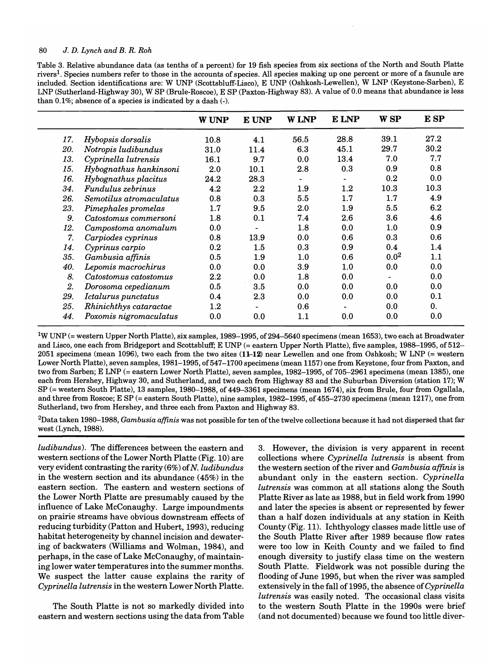Table 3. Relative abundance data (as tenths of a percent) for 19 fish species from six sections of the North and South Platte riversl. Species numbers refer to those in the accounts of species. All species making up one percent or more of a faunule are included. Section identifications are: W UNP (Scottsbluff-Lisco), E UNP (Oshkosh-Lewellen), W LNP (Keystone-Sarben), E LNP (Sutherland-Highway 30), W SP (Brule-Roscoe), E SP (Paxton-Highway 83). A value of 0.0 means that abundance is less than 0.1%; absence of a species is indicated by a dash (-).

|     |                         | <b>W UNP</b> | E UNP   | <b>W LNP</b>   | <b>E</b> LNP             | <b>WSP</b>       | E SP           |
|-----|-------------------------|--------------|---------|----------------|--------------------------|------------------|----------------|
| 17. | Hybopsis dorsalis       | 10.8         | 4.1     | 56.5           | 28.8                     | 39.1             | 27.2           |
| 20. | Notropis ludibundus     | 31.0         | 11.4    | 6.3            | 45.1                     | 29.7             | 30.2           |
| 13. | Cyprinella lutrensis    | 16.1         | 9.7     | 0.0            | 13.4                     | 7.0              | 7.7            |
| 15. | Hybognathus hankinsoni  | 2.0          | 10.1    | 2.8            | 0.3                      | 0.9              | 0.8            |
| 16. | Hybognathus placitus    | 24.2         | 28.3    | $\blacksquare$ | $\qquad \qquad -$        | 0.2              | 0.0            |
| 34. | Fundulus zebrinus       | 4.2          | 2.2     | 1.9            | 1.2                      | 10.3             | 10.3           |
| 26. | Semotilus atromaculatus | 0.8          | 0.3     | 5.5            | 1.7                      | 1.7              | 4.9            |
| 23. | Pimephales promelas     | $1.7\,$      | 9.5     | $2.0\,$        | 1.9                      | 5.5              | 6.2            |
| 9.  | Catostomus commersoni   | $1.8\,$      | 0.1     | 7.4            | 2.6                      | 3.6              | 4.6            |
| 12. | Campostoma anomalum     | 0.0          |         | 1.8            | 0.0                      | 1.0              | 0.9            |
| 7.  | Carpiodes cyprinus      | 0.8          | 13.9    | 0.0            | 0.6                      | 0.3              | 0.6            |
| 14. | Cyprinus carpio         | 0.2          | $1.5\,$ | 0.3            | 0.9                      | 0.4              | 1.4            |
| 35. | Gambusia affinis        | 0.5          | 1.9     | 1.0            | 0.6                      | 0.0 <sup>2</sup> | 1.1            |
| 40. | Lepomis macrochirus     | 0.0          | 0.0     | 3.9            | 1.0                      | 0.0              | 0.0            |
| 8.  | Catostomus catostomus   | $2.2\,$      | 0.0     | 1.8            | 0.0                      |                  | 0.0            |
| 2.  | Dorosoma cepedianum     | 0.5          | 3.5     | 0.0            | 0.0                      | 0.0              | 0.0            |
| 29. | Ictalurus punctatus     | 0.4          | 2.3     | 0.0            | 0.0                      | 0.0              | 0.1            |
| 25. | Rhinichthys cataractae  | $1.2\,$      | ٠       | 0.6            | $\overline{\phantom{0}}$ | 0.0              | $\mathbf{0}$ . |
| 44. | Poxomis nigromaculatus  | 0.0          | 0.0     | 1.1            | 0.0                      | 0.0              | 0.0            |

<sup>1</sup>W UNP (= western Upper North Platte), six samples, 1989–1995, of 294–5640 specimens (mean 1653), two each at Broadwater and Lisco, one each from Bridgeport and Scottsbluff; E UNP (= eastern Upper North Platte), five samples, 1988–1995, of 512– 2051 specimens (mean 1096), two each from the two sites  $(11-12)$  near Lewellen and one from Oshkosh; W LNP (= western Lower North Platte), seven samples, 1981-1995, of 547-1700 specimens (mean 1157) one from Keystone, four from Paxton, and two from Sarben; E LNP (= eastern Lower North Platte), seven samples, 1982-1995, of 705-2961 specimens (mean 1385), one each from Hershey, Highway 30, and Sutherland, and two each from Highway 83 and the Suburban Diversion (station 17); W SP (= western South Platte), 13 samples, 1980-1988, of 449-3361 specimens (mean 1674), six from Brule, four from Ogallala, and three from Roscoe; E SP (= eastern South Platte), nine samples, 1982-1995, of 455-2730 specimens (mean 1217), one from Sutherland, two from Hershey, and three each from Paxton and Highway 83.

2Data taken 1980-1988, *Gambusia affinis* was not possible for ten of the twelve collections because it had not dispersed that far west (Lynch, 1988).

*ludibundus).* The differences between the eastern and western sections of the Lower North Platte (Fig. 10) are very evident contrasting the rarity (6%) of N. *ludibundus*  in the western section and its abundance (45%) in the eastern section. The eastern and western sections of the Lower North Platte are presumably caused by the influence of Lake McConaughy. Large impoundments on prairie streams have obvious downstream effects of reducing turbidity (Patton and Hubert, 1993), reducing habitat heterogeneity by channel incision and dewatering of backwaters (Williams and Wolman, 1984), and perhaps, in the case of Lake McConaughy, of maintaining lower water temperatures into the summer months. We suspect the latter cause explains the rarity of *Cyprinella lutrensis* in the western Lower North Platte.

The South Platte is not so markedly divided into eastern and western sections using the data from Table 3. However, the division is very apparent in recent collections where *Cyprinella lutrensis* is absent from the western section of the river and *Gambusia affinis* is abundant only in the eastern section. *Cyprinella lutrensis* was common at all stations along the South Platte River as late as 1988, but in field work from 1990 and later the species is absent or represented by fewer than a half dozen individuals at any station in Keith County (Fig. 11). Ichthyology classes made little use of the South Platte River after 1989 because flow rates were too low in Keith County and we failed to find enough diversity to justify class time on the western South Platte. Fieldwork was not possible during the flooding of June 1995, but when the river was sampled extensively in the fall of 1995, the absence of *Cyprinella lutrensis* was easily noted. The occasional class visits to the western South Platte in the 1990s were brief (and not documented) because we found too little diver-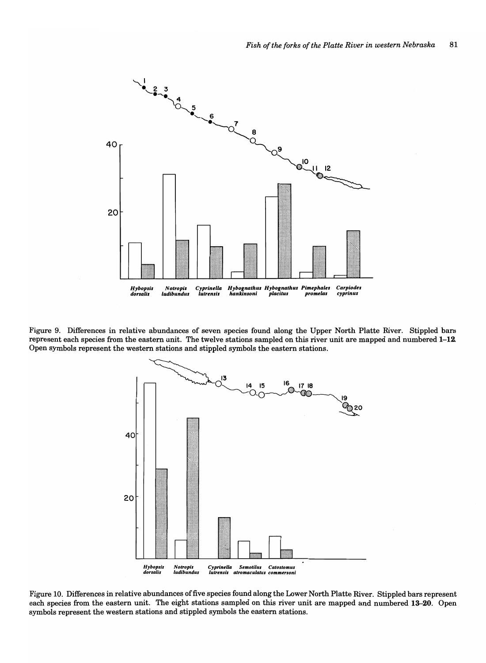

Figure 9. Differences in relative abundances of seven species found along the Upper North Platte River. Stippled bars represent each species from the eastern unit. The twelve stations sampled on this river unit are mapped and numbered 1-12. Open symbols represent the western stations and stippled symbols the eastern stations.



Figure 10. Differences in relative abundances offive species found along the Lower North Platte River. Stippled bars represent each species from the eastern unit. The eight stations sampled on this river unit are mapped and numbered 13-20. Open symbols represent the western stations and stippled symbols the eastern stations.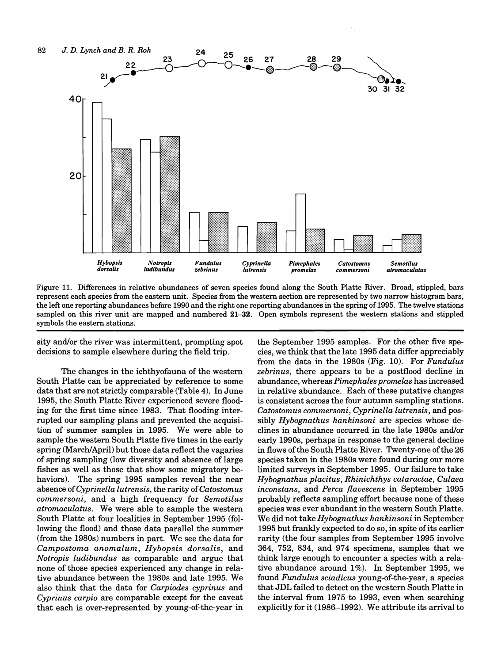

Figure 11. Differences in relative abundances of seven species found along the South Platte River. Broad, stippled, bars represent each species from the eastern unit. Species from the western section are represented by two narrow histogram bars, the left one reporting abundances before 1990 and the right one reporting abundances in the spring of 1995. The twelve stations sampled on this river unit are mapped and numbered 21-32. Open symbols represent the western stations and stippled symbols the eastern stations.

sity and/or the river was intermittent, prompting spot decisions to sample elsewhere during the field trip.

The changes in the ichthyofauna of the western South Platte can be appreciated by reference to some data that are not strictly comparable (Table 4). In June 1995, the South Platte River experienced severe flooding for the first time since 1983. That flooding interrupted our sampling plans and prevented the acquisition of summer samples in 1995. We were able to sample the western South Platte five times in the early spring (March/April) but those data reflect the vagaries of spring sampling (low diversity and absence of large fishes as well as those that show some migratory behaviors). The spring 1995 samples reveal the near absence of *Cyprinella lutrensis*, the rarity of *Catostomus commersoni,* and a high frequency for *Semotilus atromaculatus.* We were able to sample the western South Platte at four localities in September 1995 (following the flood) and those data parallel the summer (from the 1980s) numbers in part. We see the data for *Campostoma anomalum, Hybopsis dorsalis,* and *Notropis ludibundus* as comparable and argue that none of those species experienced any change in relative abundance between the 1980s and late 1995. We also think that the data for *Carpiodes eyprinus* and *Cyprinus carpio* are comparable except for the caveat that each is over-represented by young-of-the-year in

the September 1995 samples. For the other five species, we think that the late 1995 data differ appreciably from the data in the 1980s (Fig. 10). For *Fundulus zebrinus,* there appears to be a postflood decline in abundance, whereas *Pimephales promelas* has increased in relative abundance. Each of these putative changes is consistent across the four autumn sampling stations. *Catostomus eommersoni, Cyprinella lutrensis,* and possibly *Hybognathus hankinsoni* are species whose declines in abundance occurred in the late 1980s and/or early 1990s, perhaps in response to the general decline in flows of the South Platte River. Twenty-one of the 26 species taken in the 1980s were found during our more limited surveys in September 1995. Our failure to take *Hybognathus plaeitus, Rhiniehthys eataraetae, Culaea ineonstans,* and *Perea flaveseens* in September 1995 probably reflects sampling effort because none of these species was ever abundant in the western South Platte. We did not take *Hybognathus hankinsoni* in September 1995 but frankly expected to do so, in spite of its earlier rarity (the four samples from September 1995 involve 364, 752, 834, and 974 specimens, samples that we think large enough to encounter a species with a relative abundance around 1%). In September 1995, we found *Fundulus seiadieus* young-of-the-year, a species that JDL failed to detect on the western South Platte in the interval from 1975 to 1993, even when searching explicitly for it (1986-1992). We attribute its arrival to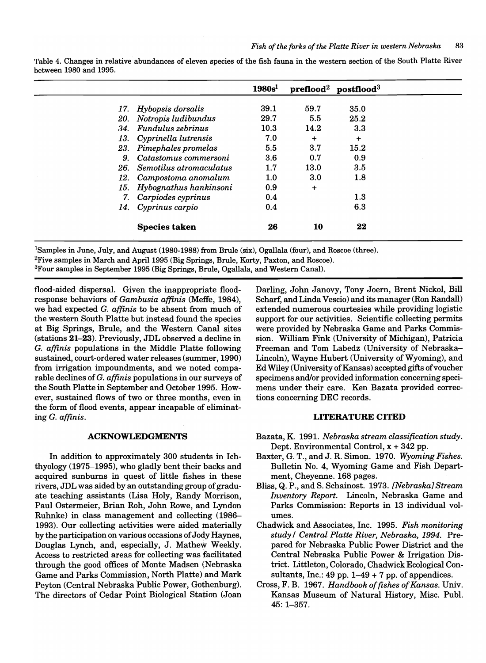|                |                             | ${\bf 1980 s^1}$ |           | $prefloat2 postfloat3$ |  |
|----------------|-----------------------------|------------------|-----------|------------------------|--|
|                |                             |                  |           |                        |  |
|                | 17. Hybopsis dorsalis       | 39.1             | 59.7      | 35.0                   |  |
|                | 20. Notropis ludibundus     | 29.7             | 5.5       | 25.2                   |  |
|                | 34. Fundulus zebrinus       | 10.3             | 14.2      | 3.3                    |  |
|                | 13. Cyprinella lutrensis    | 7.0              | ٠         | $\ddot{}$              |  |
|                | 23. Pimephales promelas     | 5.5              | 3.7       | 15.2                   |  |
| 9 <sub>1</sub> | Catastomus commersoni       | 3.6              | 0.7       | 0.9                    |  |
|                | 26. Semotilus atromaculatus | 1.7              | 13.0      | 3.5                    |  |
|                | 12. Campostoma anomalum     | 1.0              | 3.0       | 1.8                    |  |
| 15.            | Hybognathus hankinsoni      | 0.9              | $\ddot{}$ |                        |  |
| 7.             | Carpiodes cyprinus          | 0.4              |           | $1.3\,$                |  |
|                | 14. Cyprinus carpio         | 0.4              |           | 6.3                    |  |
|                | <b>Species taken</b>        | 26               | 10        | 22                     |  |

Table 4. Changes in relative abundances of eleven species of the fish fauna in the western section of the South Platte River between 1980 and 1995.

ISamples in June, July, and August (1980-1988) from Brule (six), Ogallala (four), and Roscoe (three). <sup>2</sup>Five samples in March and April 1995 (Big Springs, Brule, Korty, Paxton, and Roscoe). 3Four samples in September 1995 (Big Springs, Brule, Ogallala, and Western Canal).

flood-aided dispersal. Given the inappropriate floodresponse behaviors of *Gambusia affinis* (Meffe, 1984), we had expected G. *affinis* to be absent from much of the western South Platte but instead found the species at Big Springs, Brule, and the Western Canal sites (stations 21-23). Previously, JDL observed a decline in G. *affinis* populations in the Middle Platte following sustained, court-ordered water releases (summer, 1990) from irrigation impoundments, and we noted comparable declines ofG. *affinis* populations in our surveys of the South Platte in September and October 1995. However, sustained flows of two or three months, even in the form of flood events, appear incapable of eliminating G. *affinis.* 

## ACKNOWLEDGMENTS

In addition to approximately 300 students in Ichthyology (1975-1995), who gladly bent their backs and acquired sunburns in quest of little fishes in these rivers, JDL was aided by an outstanding group of graduate teaching assistants (Lisa Holy, Randy Morrison, Paul Ostermeier, Brian Roh, John Rowe, and Lyndon Ruhnke) in class management and collecting (1986- 1993). Our collecting activities were aided materially by the participation on various occasions of Jody Haynes, Douglas Lynch, and, especially, J. Mathew Weekly. Access to restricted areas for collecting was facilitated through the good offices of Monte Madsen (Nebraska Game and Parks Commission, North Platte) and Mark Peyton (Central Nebraska Public Power, Gothenburg). The directors of Cedar Point Biological Station (Joan

Darling, John Janovy, Tony Joern, Brent Nickol, Bill Scharf, and Linda Vescio) and its manager (Ron Randall) extended numerous courtesies while providing logistic support for our activities. Scientific collecting permits were provided by Nebraska Game and Parks Commission. William Fink (University of Michigan), Patricia Freeman and Tom Labedz (University of Nebraska-Lincoln), Wayne Hubert (University of Wyoming), and Ed Wiley (University of Kansas) accepted gifts of voucher specimens and/or provided information concerning specimens under their care. Ken Bazata provided corrections concerning DEC records.

## LITERATURE CITED

- Bazata, K. 1991. *Nebraska stream classification study.*  Dept. Environmental Control,  $x + 342$  pp.
- Baxter, G. T., and J. R. Simon. 1970. *Wyoming Fishes.*  Bulletin No.4, Wyoming Game and Fish Department, Cheyenne. 168 pages.
- Bliss, Q. P., and S. Schainost. 1973. *[Nebraska} Stream Inventory Report.* Lincoln, Nebraska Game and Parks Commission: Reports in 13 individual volumes.
- Chadwick and Associates, Inc. 1995. *Fish monitoring study* / *Central Platte River, Nebraska,* 1994. Prepared for Nebraska Public Power District and the Central Nebraska Public Power & Irrigation District. Littleton, Colorado, Chadwick Ecological Consultants, Inc.: 49 pp.  $1-49+7$  pp. of appendices.
- Cross, F. B. 1967. *Handbook of fishes of Kansas.* Univ. Kansas Museum of Natural History, Misc. Publ. 45: 1-357.